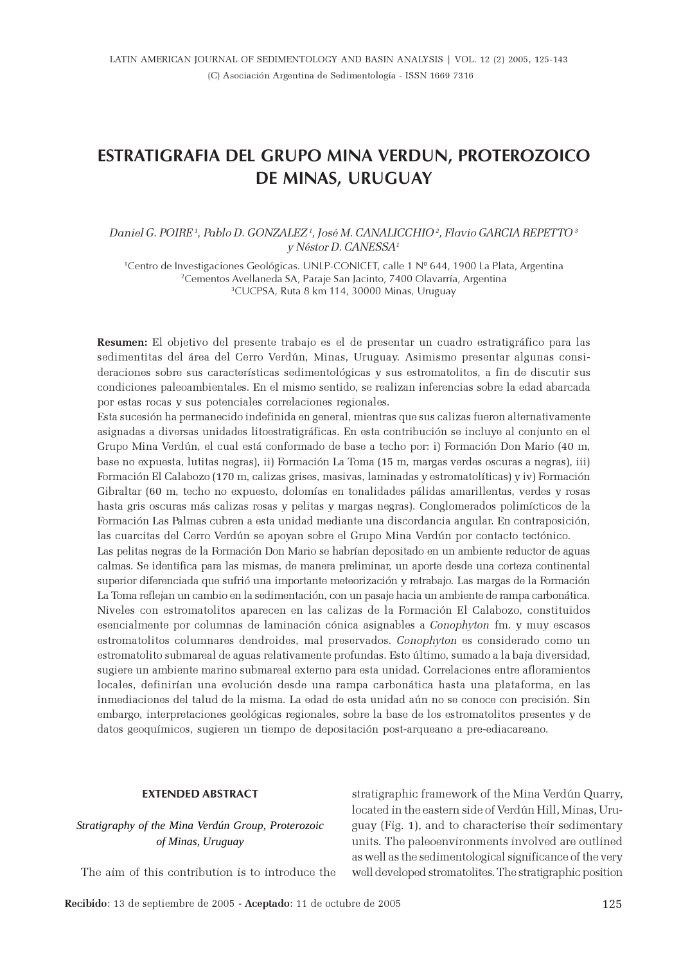# ESTRATIGRAFIA DEL GRUPO MINA VERDUN, PROTEROZOICO DE MINAS, URUGUAY

# Daniel G. POIRE<sup>1</sup>, Pablo D. GONZALEZ<sup>1</sup>, José M. CANALICCHIO<sup>2</sup>, Flavio GARCIA REPETTO<sup>3</sup> y Néstor D. CANESSA<sup>1</sup>

1 Centro de Investigaciones Geológicas. UNLP-CONICET, calle 1 Nº 644, 1900 La Plata, Argentina <sup>2</sup>Cementos Avellaneda SA, Paraje San Jacinto, 7400 Olavarría, Argentina <sup>3</sup>CUCPSA, Ruta 8 km 114, 30000 Minas, Uruguay

Resumen: El objetivo del presente trabajo es el de presentar un cuadro estratigráfico para las sedimentitas del área del Cerro Verdún, Minas, Uruguay. Asimismo presentar algunas consideraciones sobre sus características sedimentológicas y sus estromatolitos, a fin de discutir sus condiciones paleoambientales. En el mismo sentido, se realizan inferencias sobre la edad abarcada por estas rocas y sus potenciales correlaciones regionales.

Esta sucesión ha permanecido indefinida en general, mientras que sus calizas fueron alternativamente asignadas a diversas unidades litoestratigráficas. En esta contribución se incluye al conjunto en el Grupo Mina Verdún, el cual está conformado de base a techo por: i) Formación Don Mario (40 m, base no expuesta, lutitas negras), ii) Formación La Toma (15 m, margas verdes oscuras a negras), iii) Formación El Calabozo (170 m, calizas grises, masivas, laminadas y estromatolíticas) y iv) Formación Gibraltar (60 m, techo no expuesto, dolomías en tonalidades pálidas amarillentas, verdes y rosas hasta gris oscuras más calizas rosas y pelitas y margas negras). Conglomerados polimícticos de la Formación Las Palmas cubren a esta unidad mediante una discordancia angular. En contraposición, las cuarcitas del Cerro Verdún se apoyan sobre el Grupo Mina Verdún por contacto tectónico.

Las pelitas negras de la Formación Don Mario se habrían depositado en un ambiente reductor de aguas calmas. Se identifica para las mismas, de manera preliminar, un aporte desde una corteza continental superior diferenciada que sufrió una importante meteorización y retrabajo. Las margas de la Formación La Toma reflejan un cambio en la sedimentación, con un pasaje hacia un ambiente de rampa carbonática. Niveles con estromatolitos aparecen en las calizas de la Formación El Calabozo, constituidos esencialmente por columnas de laminación cónica asignables a Conophyton fm. y muy escasos estromatolitos columnares dendroides, mal preservados. Conophyton es considerado como un estromatolito submareal de aguas relativamente profundas. Esto último, sumado a la baja diversidad, sugiere un ambiente marino submareal externo para esta unidad. Correlaciones entre afloramientos locales, definirían una evolución desde una rampa carbonática hasta una plataforma, en las inmediaciones del talud de la misma. La edad de esta unidad aún no se conoce con precisión. Sin embargo, interpretaciones geológicas regionales, sobre la base de los estromatolitos presentes y de datos geoquímicos, sugieren un tiempo de depositación post-arqueano a pre-ediacareano.

#### EXTENDED ABSTRACT

# *Stratigraphy of the Mina Verdún Group, Proterozoic of Minas, Uruguay*

The aim of this contribution is to introduce the

stratigraphic framework of the Mina Verdún Quarry, located in the eastern side of Verdún Hill, Minas, Uruguay (Fig. 1), and to characterise their sedimentary units. The paleoenvironments involved are outlined as well as the sedimentological significance of the very well developed stromatolites. The stratigraphic position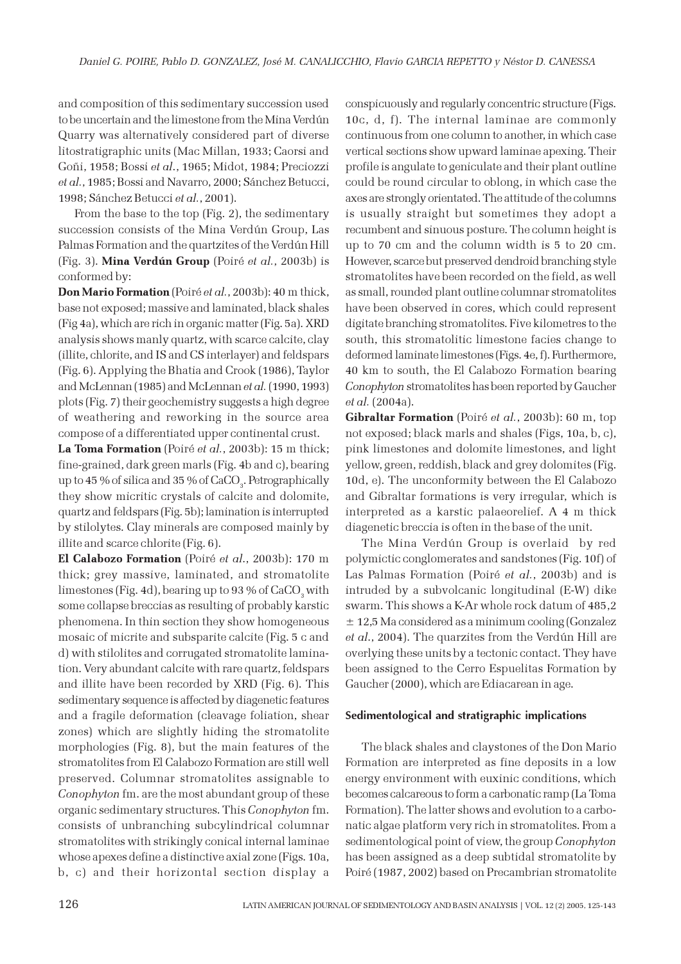and composition of this sedimentary succession used to be uncertain and the limestone from the Mina Verdún Quarry was alternatively considered part of diverse litostratigraphic units (Mac Millan, 1933; Caorsi and Goñi, 1958; Bossi et al., 1965; Midot, 1984; Preciozzi et al., 1985; Bossi and Navarro, 2000; Sánchez Betucci, 1998; Sánchez Betucci et al., 2001).

From the base to the top (Fig. 2), the sedimentary succession consists of the Mina Verdún Group, Las Palmas Formation and the quartzites of the Verdún Hill (Fig. 3). Mina Verdún Group (Poiré et al., 2003b) is conformed by:

Don Mario Formation (Poiré et al., 2003b): 40 m thick, base not exposed; massive and laminated, black shales (Fig 4a), which are rich in organic matter (Fig. 5a). XRD analysis shows manly quartz, with scarce calcite, clay (illite, chlorite, and IS and CS interlayer) and feldspars (Fig. 6). Applying the Bhatia and Crook (1986), Taylor and McLennan (1985) and McLennan et al. (1990, 1993) plots (Fig. 7) their geochemistry suggests a high degree of weathering and reworking in the source area compose of a differentiated upper continental crust.

La Toma Formation (Poiré et al., 2003b): 15 m thick; fine-grained, dark green marls (Fig. 4b and c), bearing up to 45 % of silica and 35 % of  $\rm CaCO_{\rm_3}.$  Petrographically they show micritic crystals of calcite and dolomite, quartz and feldspars (Fig. 5b); lamination is interrupted by stilolytes. Clay minerals are composed mainly by illite and scarce chlorite (Fig. 6).

El Calabozo Formation (Poiré et al., 2003b): 170 m thick; grey massive, laminated, and stromatolite limestones (Fig. 4d), bearing up to 93 % of CaCO<sub>3</sub> with some collapse breccias as resulting of probably karstic phenomena. In thin section they show homogeneous mosaic of micrite and subsparite calcite (Fig. 5 c and d) with stilolites and corrugated stromatolite lamination. Very abundant calcite with rare quartz, feldspars and illite have been recorded by XRD (Fig. 6). This sedimentary sequence is affected by diagenetic features and a fragile deformation (cleavage foliation, shear zones) which are slightly hiding the stromatolite morphologies (Fig. 8), but the main features of the stromatolites from El Calabozo Formation are still well preserved. Columnar stromatolites assignable to Conophyton fm. are the most abundant group of these organic sedimentary structures. This Conophyton fm. consists of unbranching subcylindrical columnar stromatolites with strikingly conical internal laminae whose apexes define a distinctive axial zone (Figs. 10a, b, c) and their horizontal section display a

conspicuously and regularly concentric structure (Figs. 10c, d, f). The internal laminae are commonly continuous from one column to another, in which case vertical sections show upward laminae apexing. Their profile is angulate to geniculate and their plant outline could be round circular to oblong, in which case the axes are strongly orientated. The attitude of the columns is usually straight but sometimes they adopt a recumbent and sinuous posture. The column height is up to 70 cm and the column width is 5 to 20 cm. However, scarce but preserved dendroid branching style stromatolites have been recorded on the field, as well as small, rounded plant outline columnar stromatolites have been observed in cores, which could represent digitate branching stromatolites. Five kilometres to the south, this stromatolitic limestone facies change to deformed laminate limestones (Figs. 4e, f). Furthermore, 40 km to south, the El Calabozo Formation bearing Conophyton stromatolites has been reported by Gaucher et al. (2004a).

Gibraltar Formation (Poiré et al., 2003b): 60 m, top not exposed; black marls and shales (Figs, 10a, b, c), pink limestones and dolomite limestones, and light yellow, green, reddish, black and grey dolomites (Fig. 10d, e). The unconformity between the El Calabozo and Gibraltar formations is very irregular, which is interpreted as a karstic palaeorelief. A 4 m thick diagenetic breccia is often in the base of the unit.

The Mina Verdún Group is overlaid by red polymictic conglomerates and sandstones (Fig. 10f) of Las Palmas Formation (Poiré et al., 2003b) and is intruded by a subvolcanic longitudinal (E-W) dike swarm. This shows a K-Ar whole rock datum of 485,2 ± 12,5 Ma considered as a minimum cooling (Gonzalez et al., 2004). The quarzites from the Verdún Hill are overlying these units by a tectonic contact. They have been assigned to the Cerro Espuelitas Formation by Gaucher (2000), which are Ediacarean in age.

#### Sedimentological and stratigraphic implications

The black shales and claystones of the Don Mario Formation are interpreted as fine deposits in a low energy environment with euxinic conditions, which becomes calcareous to form a carbonatic ramp (La Toma Formation). The latter shows and evolution to a carbonatic algae platform very rich in stromatolites. From a sedimentological point of view, the group Conophyton has been assigned as a deep subtidal stromatolite by Poiré (1987, 2002) based on Precambrian stromatolite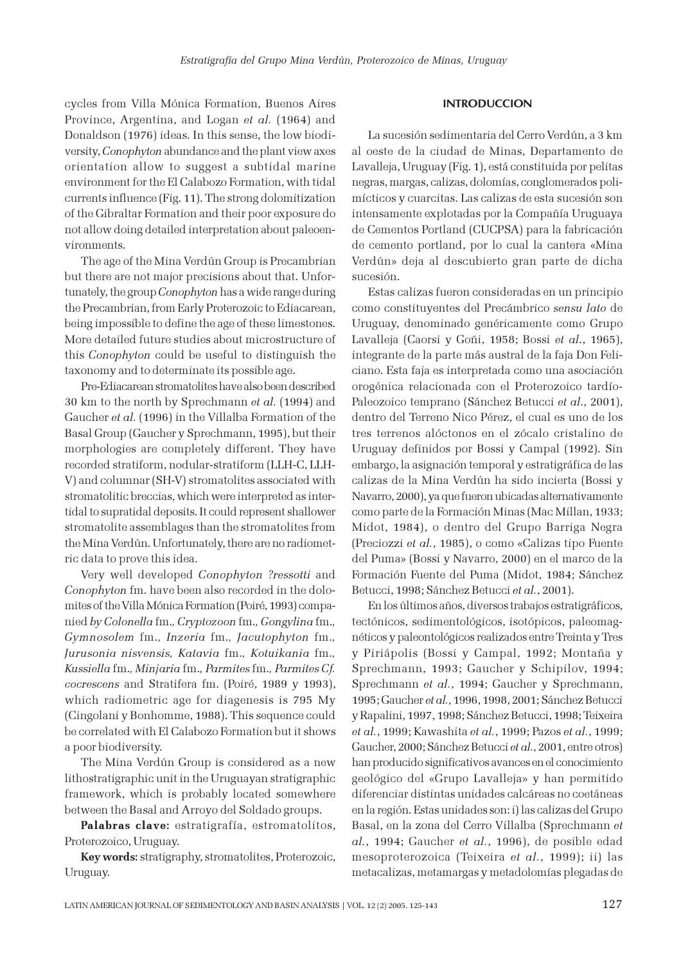cycles from Villa Mónica Formation, Buenos Aires Province, Argentina, and Logan et al. (1964) and Donaldson (1976) ideas. In this sense, the low biodiversity, Conophyton abundance and the plant view axes orientation allow to suggest a subtidal marine environment for the El Calabozo Formation, with tidal currents influence (Fig. 11). The strong dolomitization of the Gibraltar Formation and their poor exposure do not allow doing detailed interpretation about paleoenvironments.

The age of the Mina Verdún Group is Precambrian but there are not major precisions about that. Unfortunately, the group Conophyton has a wide range during the Precambrian, from Early Proterozoic to Ediacarean, being impossible to define the age of these limestones. More detailed future studies about microstructure of this Conophyton could be useful to distinguish the taxonomy and to determinate its possible age.

Pre-Ediacarean stromatolites have also been described 30 km to the north by Sprechmann et al. (1994) and Gaucher et al. (1996) in the Villalba Formation of the Basal Group (Gaucher y Sprechmann, 1995), but their morphologies are completely different. They have recorded stratiform, nodular-stratiform (LLH-C, LLH-V) and columnar (SH-V) stromatolites associated with stromatolitic breccias, which were interpreted as intertidal to supratidal deposits. It could represent shallower stromatolite assemblages than the stromatolites from the Mina Verdún. Unfortunately, there are no radiometric data to prove this idea.

Very well developed Conophyton ?ressotti and Conophyton fm. have been also recorded in the dolomites of the Villa Mónica Formation (Poiré, 1993) companied by Colonella fm., Cryptozoon fm., Gongylina fm., Gymnosolem fm., Inzeria fm., Jacutophyton fm., Jurusonia nisvensis, Katavia fm., Kotuikania fm., Kussiella fm., Minjaria fm., Parmites fm., Parmites Cf. cocrescens and Stratifera fm. (Poiré, 1989 y 1993), which radiometric age for diagenesis is 795 My (Cingolani y Bonhomme, 1988). This sequence could be correlated with El Calabozo Formation but it shows a poor biodiversity.

The Mina Verdún Group is considered as a new lithostratigraphic unit in the Uruguayan stratigraphic framework, which is probably located somewhere between the Basal and Arroyo del Soldado groups.

Palabras clave: estratigrafía, estromatolitos, Proterozoico, Uruguay.

Key words: stratigraphy, stromatolites, Proterozoic, Uruguay.

#### **INTRODUCCION**

La sucesión sedimentaria del Cerro Verdún, a 3 km al oeste de la ciudad de Minas, Departamento de Lavalleja, Uruguay (Fig. 1), está constituida por pelitas negras, margas, calizas, dolomías, conglomerados polimícticos y cuarcitas. Las calizas de esta sucesión son intensamente explotadas por la Compañía Uruguaya de Cementos Portland (CUCPSA) para la fabricación de cemento portland, por lo cual la cantera «Mina Verdún» deja al descubierto gran parte de dicha sucesión.

Estas calizas fueron consideradas en un principio como constituyentes del Precámbrico sensu lato de Uruguay, denominado genéricamente como Grupo Lavalleja (Caorsi y Goñi, 1958; Bossi et al., 1965), integrante de la parte más austral de la faja Don Feliciano. Esta faja es interpretada como una asociación orogénica relacionada con el Proterozoico tardío-Paleozoico temprano (Sánchez Betucci et al., 2001), dentro del Terreno Nico Pérez, el cual es uno de los tres terrenos alóctonos en el zócalo cristalino de Uruguay definidos por Bossi y Campal (1992). Sin embargo, la asignación temporal y estratigráfica de las calizas de la Mina Verdún ha sido incierta (Bossi y Navarro, 2000), ya que fueron ubicadas alternativamente como parte de la Formación Minas (Mac Millan, 1933; Midot, 1984), o dentro del Grupo Barriga Negra (Preciozzi et al., 1985), o como «Calizas tipo Fuente del Puma» (Bossi y Navarro, 2000) en el marco de la Formación Fuente del Puma (Midot, 1984; Sánchez Betucci, 1998; Sánchez Betucci et al., 2001).

En los últimos años, diversos trabajos estratigráficos, tectónicos, sedimentológicos, isotópicos, paleomagnéticos y paleontológicos realizados entre Treinta y Tres y Piriápolis (Bossi y Campal, 1992; Montaña y Sprechmann, 1993; Gaucher y Schipilov, 1994; Sprechmann et al., 1994; Gaucher y Sprechmann, 1995; Gaucher et al., 1996, 1998, 2001; Sánchez Betucci y Rapalini, 1997, 1998; Sánchez Betucci, 1998; Teixeira et al., 1999; Kawashita et al., 1999; Pazos et al., 1999; Gaucher, 2000; Sánchez Betucci et al., 2001, entre otros) han producido significativos avances en el conocimiento geológico del «Grupo Lavalleja» y han permitido diferenciar distintas unidades calcáreas no coetáneas en la región. Estas unidades son: i) las calizas del Grupo Basal, en la zona del Cerro Villalba (Sprechmann et al., 1994; Gaucher et al., 1996), de posible edad mesoproterozoica (Teixeira et al., 1999); ii) las metacalizas, metamargas y metadolomías plegadas de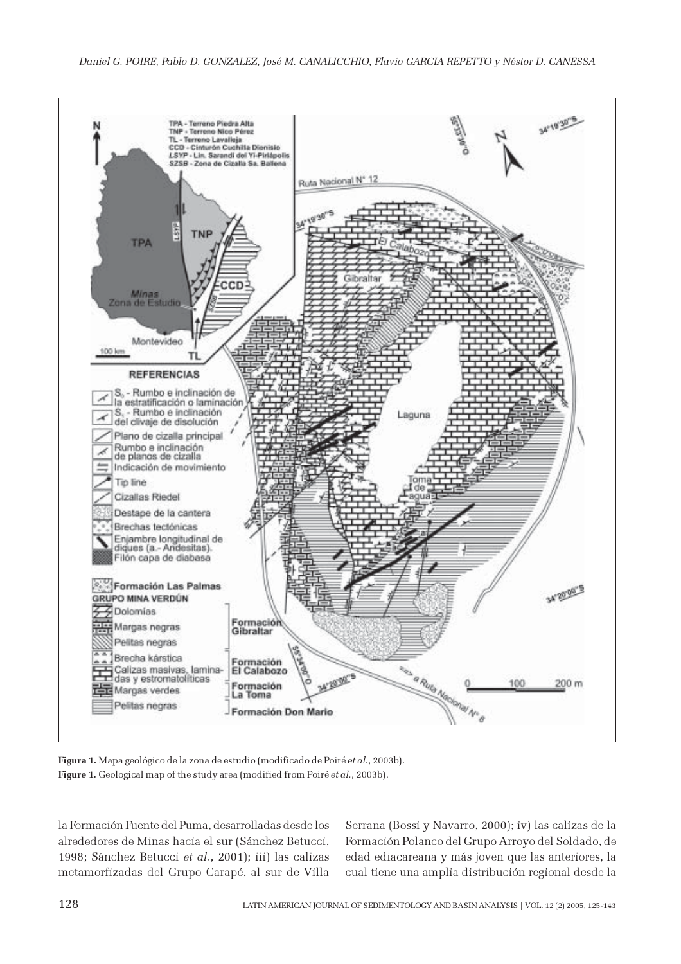

Figura 1. Mapa geológico de la zona de estudio (modificado de Poiré et al., 2003b). Figure 1. Geological map of the study area (modified from Poiré et al., 2003b).

la Formación Fuente del Puma, desarrolladas desde los alrededores de Minas hacia el sur (Sánchez Betucci, 1998; Sánchez Betucci et al., 2001); iii) las calizas metamorfizadas del Grupo Carapé, al sur de Villa

Serrana (Bossi y Navarro, 2000); iv) las calizas de la Formación Polanco del Grupo Arroyo del Soldado, de edad ediacareana y más joven que las anteriores, la cual tiene una amplia distribución regional desde la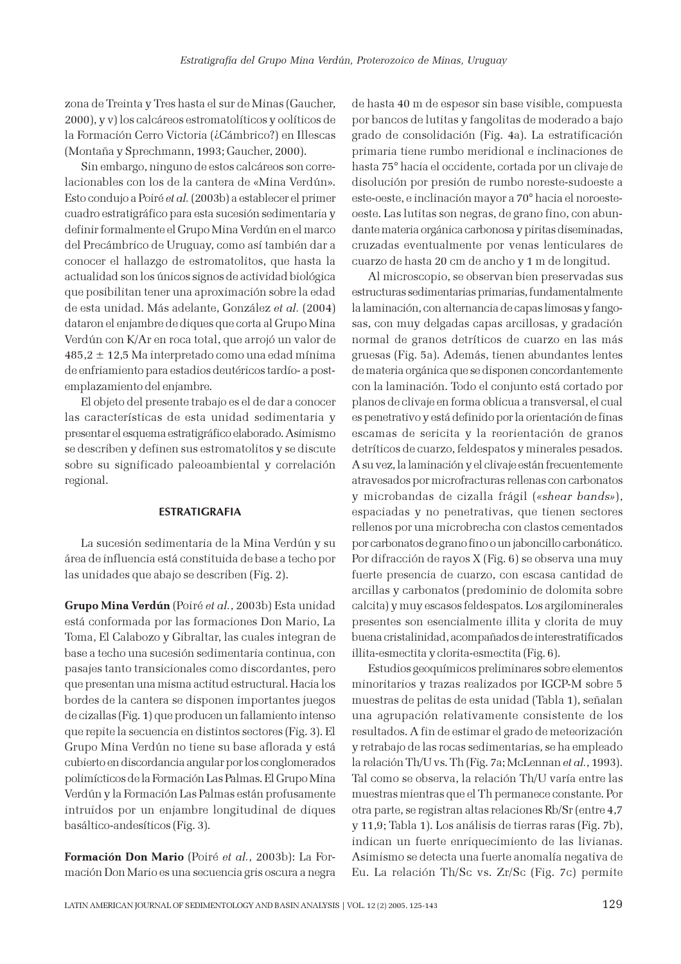zona de Treinta y Tres hasta el sur de Minas (Gaucher, 2000), y v) los calcáreos estromatolíticos y oolíticos de la Formación Cerro Victoria (¿Cámbrico?) en Illescas (Montaña y Sprechmann, 1993; Gaucher, 2000).

Sin embargo, ninguno de estos calcáreos son correlacionables con los de la cantera de «Mina Verdún». Esto condujo a Poiré et al. (2003b) a establecer el primer cuadro estratigráfico para esta sucesión sedimentaria y definir formalmente el Grupo Mina Verdún en el marco del Precámbrico de Uruguay, como así también dar a conocer el hallazgo de estromatolitos, que hasta la actualidad son los únicos signos de actividad biológica que posibilitan tener una aproximación sobre la edad de esta unidad. Más adelante, González et al. (2004) dataron el enjambre de diques que corta al Grupo Mina Verdún con K/Ar en roca total, que arrojó un valor de 485,2 ± 12,5 Ma interpretado como una edad mínima de enfriamiento para estadios deutéricos tardío- a postemplazamiento del enjambre.

El objeto del presente trabajo es el de dar a conocer las características de esta unidad sedimentaria y presentar el esquema estratigráfico elaborado. Asimismo se describen y definen sus estromatolitos y se discute sobre su significado paleoambiental y correlación regional.

## **ESTRATIGRAFIA**

La sucesión sedimentaria de la Mina Verdún y su área de influencia está constituida de base a techo por las unidades que abajo se describen (Fig. 2).

Grupo Mina Verdún (Poiré et al., 2003b) Esta unidad está conformada por las formaciones Don Mario, La Toma, El Calabozo y Gibraltar, las cuales integran de base a techo una sucesión sedimentaria continua, con pasajes tanto transicionales como discordantes, pero que presentan una misma actitud estructural. Hacia los bordes de la cantera se disponen importantes juegos de cizallas (Fig. 1) que producen un fallamiento intenso que repite la secuencia en distintos sectores (Fig. 3). El Grupo Mina Verdún no tiene su base aflorada y está cubierto en discordancia angular por los conglomerados polimícticos de la Formación Las Palmas. El Grupo Mina Verdún y la Formación Las Palmas están profusamente intruidos por un enjambre longitudinal de diques basáltico-andesíticos (Fig. 3).

Formación Don Mario (Poiré et al., 2003b): La Formación Don Mario es una secuencia gris oscura a negra de hasta 40 m de espesor sin base visible, compuesta por bancos de lutitas y fangolitas de moderado a bajo grado de consolidación (Fig. 4a). La estratificación primaria tiene rumbo meridional e inclinaciones de hasta 75° hacia el occidente, cortada por un clivaje de disolución por presión de rumbo noreste-sudoeste a este-oeste, e inclinación mayor a 70° hacia el noroesteoeste. Las lutitas son negras, de grano fino, con abundante materia orgánica carbonosa y piritas diseminadas, cruzadas eventualmente por venas lenticulares de cuarzo de hasta 20 cm de ancho y 1 m de longitud.

Al microscopio, se observan bien preservadas sus estructuras sedimentarias primarias, fundamentalmente la laminación, con alternancia de capas limosas y fangosas, con muy delgadas capas arcillosas, y gradación normal de granos detríticos de cuarzo en las más gruesas (Fig. 5a). Además, tienen abundantes lentes de materia orgánica que se disponen concordantemente con la laminación. Todo el conjunto está cortado por planos de clivaje en forma oblicua a transversal, el cual es penetrativo y está definido por la orientación de finas escamas de sericita y la reorientación de granos detríticos de cuarzo, feldespatos y minerales pesados. A su vez, la laminación y el clivaje están frecuentemente atravesados por microfracturas rellenas con carbonatos y microbandas de cizalla frágil («shear bands»), espaciadas y no penetrativas, que tienen sectores rellenos por una microbrecha con clastos cementados por carbonatos de grano fino o un jaboncillo carbonático. Por difracción de rayos X (Fig. 6) se observa una muy fuerte presencia de cuarzo, con escasa cantidad de arcillas y carbonatos (predominio de dolomita sobre calcita) y muy escasos feldespatos. Los argilominerales presentes son esencialmente illita y clorita de muy buena cristalinidad, acompañados de interestratificados illita-esmectita y clorita-esmectita (Fig. 6).

Estudios geoquímicos preliminares sobre elementos minoritarios y trazas realizados por IGCP-M sobre 5 muestras de pelitas de esta unidad (Tabla 1), señalan una agrupación relativamente consistente de los resultados. A fin de estimar el grado de meteorización y retrabajo de las rocas sedimentarias, se ha empleado la relación Th/U vs. Th (Fig. 7a; McLennan et al., 1993). Tal como se observa, la relación Th/U varía entre las muestras mientras que el Th permanece constante. Por otra parte, se registran altas relaciones Rb/Sr (entre 4,7 y 11,9; Tabla 1). Los análisis de tierras raras (Fig. 7b), indican un fuerte enriquecimiento de las livianas. Asimismo se detecta una fuerte anomalía negativa de Eu. La relación Th/Sc vs. Zr/Sc (Fig. 7c) permite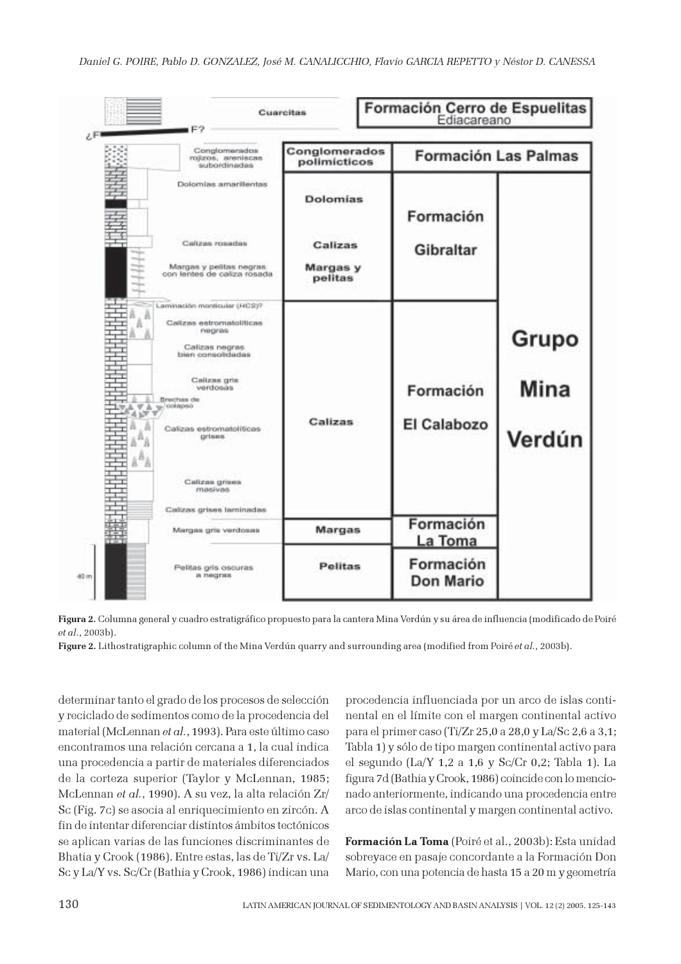



Figure 2. Lithostratigraphic column of the Mina Verdún quarry and surrounding area (modified from Poiré et al., 2003b).

determinar tanto el grado de los procesos de selección y reciclado de sedimentos como de la procedencia del material (McLennan et al., 1993). Para este último caso encontramos una relación cercana a 1, la cual indica una procedencia a partir de materiales diferenciados de la corteza superior (Taylor y McLennan, 1985; McLennan et al., 1990). A su vez, la alta relación Zr/ Sc (Fig. 7c) se asocia al enriquecimiento en zircón. A fin de intentar diferenciar distintos ámbitos tectónicos se aplican varias de las funciones discriminantes de Bhatia y Crook (1986). Entre estas, las de Ti/Zr vs. La/ Sc y La/Y vs. Sc/Cr (Bathia y Crook, 1986) indican una

procedencia influenciada por un arco de islas continental en el límite con el margen continental activo para el primer caso (Ti/Zr 25,0 a 28,0 y La/Sc 2,6 a 3,1; Tabla 1) y sólo de tipo margen continental activo para el segundo (La/Y 1,2 a 1,6 y Sc/Cr 0,2; Tabla 1). La figura 7d (Bathia y Crook, 1986) coincide con lo mencionado anteriormente, indicando una procedencia entre arco de islas continental y margen continental activo.

Formación La Toma (Poiré et al., 2003b): Esta unidad sobreyace en pasaje concordante a la Formación Don Mario, con una potencia de hasta 15 a 20 m y geometría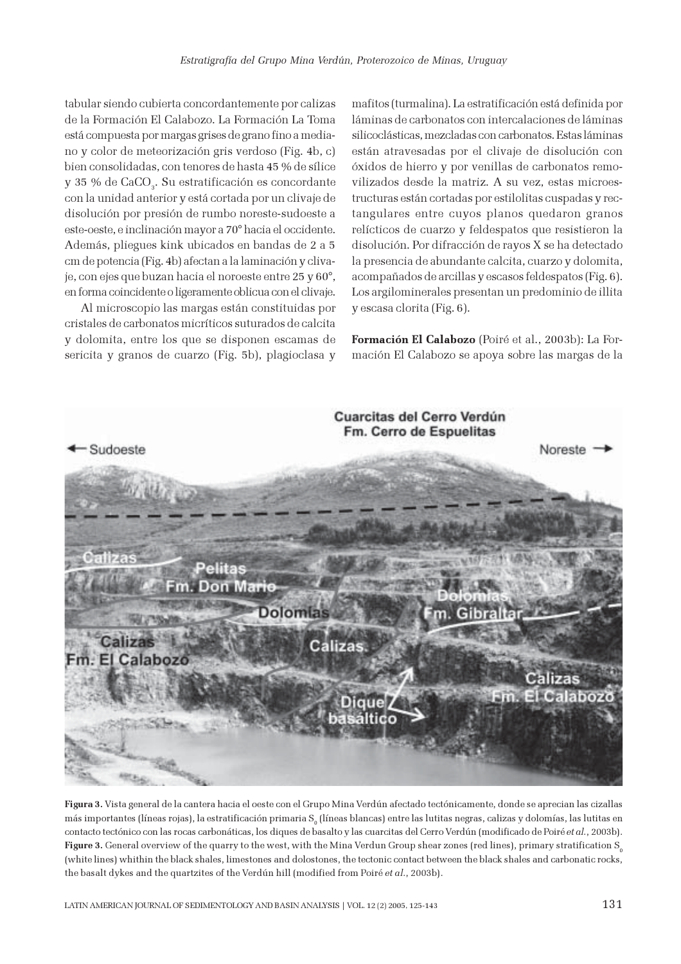tabular siendo cubierta concordantemente por calizas de la Formación El Calabozo. La Formación La Toma está compuesta por margas grises de grano fino a mediano y color de meteorización gris verdoso (Fig. 4b, c) bien consolidadas, con tenores de hasta 45 % de sílice y 35 % de CaCO $_{\scriptscriptstyle 3}$ . Su estratificación es concordante con la unidad anterior y está cortada por un clivaje de disolución por presión de rumbo noreste-sudoeste a este-oeste, e inclinación mayor a 70° hacia el occidente. Además, pliegues kink ubicados en bandas de 2 a 5 cm de potencia (Fig. 4b) afectan a la laminación y clivaje, con ejes que buzan hacia el noroeste entre 25 y 60°, en forma coincidente o ligeramente oblicua con el clivaje.

Al microscopio las margas están constituidas por cristales de carbonatos micríticos suturados de calcita y dolomita, entre los que se disponen escamas de sericita y granos de cuarzo (Fig. 5b), plagioclasa y mafitos (turmalina). La estratificación está definida por láminas de carbonatos con intercalaciones de láminas silicoclásticas, mezcladas con carbonatos. Estas láminas están atravesadas por el clivaje de disolución con óxidos de hierro y por venillas de carbonatos removilizados desde la matriz. A su vez, estas microestructuras están cortadas por estilolitas cuspadas y rectangulares entre cuyos planos quedaron granos relícticos de cuarzo y feldespatos que resistieron la disolución. Por difracción de rayos X se ha detectado la presencia de abundante calcita, cuarzo y dolomita, acompañados de arcillas y escasos feldespatos (Fig. 6). Los argilominerales presentan un predominio de illita y escasa clorita (Fig. 6).

Formación El Calabozo (Poiré et al., 2003b): La Formación El Calabozo se apoya sobre las margas de la



Figura 3. Vista general de la cantera hacia el oeste con el Grupo Mina Verdún afectado tectónicamente, donde se aprecian las cizallas más importantes (líneas rojas), la estratificación primaria S<sub>o</sub> (líneas blancas) entre las lutitas negras, calizas y dolomías, las lutitas en contacto tectónico con las rocas carbonáticas, los diques de basalto y las cuarcitas del Cerro Verdún (modificado de Poiré et al., 2003b). Figure 3. General overview of the quarry to the west, with the Mina Verdun Group shear zones (red lines), primary stratification  $S_0$ (white lines) whithin the black shales, limestones and dolostones, the tectonic contact between the black shales and carbonatic rocks, the basalt dykes and the quartzites of the Verdún hill (modified from Poiré et al., 2003b).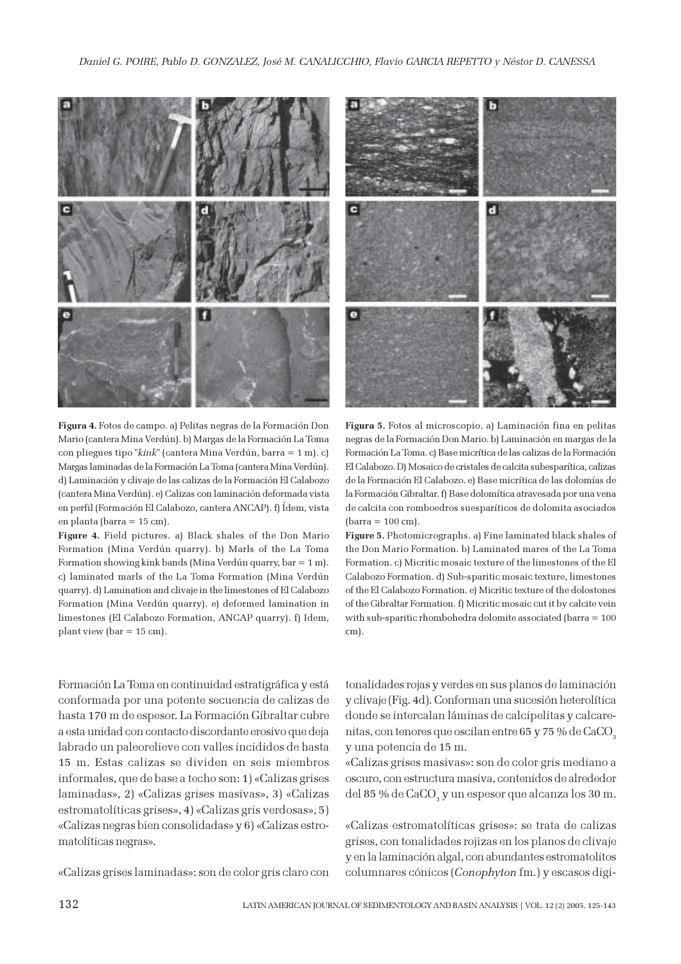

Figura 4. Fotos de campo. a) Pelitas negras de la Formación Don Mario (cantera Mina Verdún). b) Margas de la Formación La Toma con pliegues tipo "kink" (cantera Mina Verdún, barra = 1 m). c) Margas laminadas de la Formación La Toma (cantera Mina Verdún). d) Laminación y clivaje de las calizas de la Formación El Calabozo (cantera Mina Verdún). e) Calizas con laminación deformada vista en perfil (Formación El Calabozo, cantera ANCAP). f) Ídem, vista en planta (barra = 15 cm).

Figure 4. Field pictures. a) Black shales of the Don Mario Formation (Mina Verdún quarry). b) Marls of the La Toma Formation showing kink bands (Mina Verdún quarry, bar = 1 m). c) laminated marls of the La Toma Formation (Mina Verdún quarry). d) Lamination and clivaje in the limestones of El Calabozo Formation (Mina Verdún quarry). e) deformed lamination in limestones (El Calabozo Formation, ANCAP quarry). f) Idem, plant view (bar = 15 cm).

Formación La Toma en continuidad estratigráfica y está conformada por una potente secuencia de calizas de hasta 170 m de espesor. La Formación Gibraltar cubre a esta unidad con contacto discordante erosivo que deja labrado un paleorelieve con valles incididos de hasta 15 m. Estas calizas se dividen en seis miembros informales, que de base a techo son: 1) «Calizas grises laminadas», 2) «Calizas grises masivas», 3) «Calizas estromatolíticas grises», 4) «Calizas gris verdosas», 5) «Calizas negras bien consolidadas» y 6) «Calizas estromatolíticas negras».

«Calizas grises laminadas»: son de color gris claro con



Figura 5. Fotos al microscopio. a) Laminación fina en pelitas negras de la Formación Don Mario. b) Laminación en margas de la Formación La Toma. c) Base micrítica de las calizas de la Formación El Calabozo. D) Mosaico de cristales de calcita subesparítica, calizas de la Formación El Calabozo. e) Base micrítica de las dolomías de la Formación Gibraltar. f) Base dolomítica atravesada por una vena de calcita con romboedros suesparíticos de dolomita asociados (barra = 100 cm).

Figure 5. Photomicrographs. a) Fine laminated black shales of the Don Mario Formation. b) Laminated mares of the La Toma Formation. c) Micritic mosaic texture of the limestones of the El Calabozo Formation. d) Sub-sparitic mosaic texture, limestones of the El Calabozo Formation. e) Micritic texture of the dolostones of the Gibraltar Formation. f) Micritic mosaic cut it by calcite vein with sub-sparitic rhombohedra dolomite associated (barra = 100 cm).

tonalidades rojas y verdes en sus planos de laminación y clivaje (Fig. 4d). Conforman una sucesión heterolítica donde se intercalan láminas de calcipelitas y calcarenitas, con tenores que oscilan entre 65 y 75 % de CaCO<sub>3</sub> y una potencia de 15 m.

«Calizas grises masivas»: son de color gris mediano a oscuro, con estructura masiva, contenidos de alrededor del 85 % de CaCO $_{\text{\tiny 3}}$  y un espesor que alcanza los 30 m.

«Calizas estromatolíticas grises»: se trata de calizas grises, con tonalidades rojizas en los planos de clivaje y en la laminación algal, con abundantes estromatolitos columnares cónicos (Conophyton fm.) y escasos digi-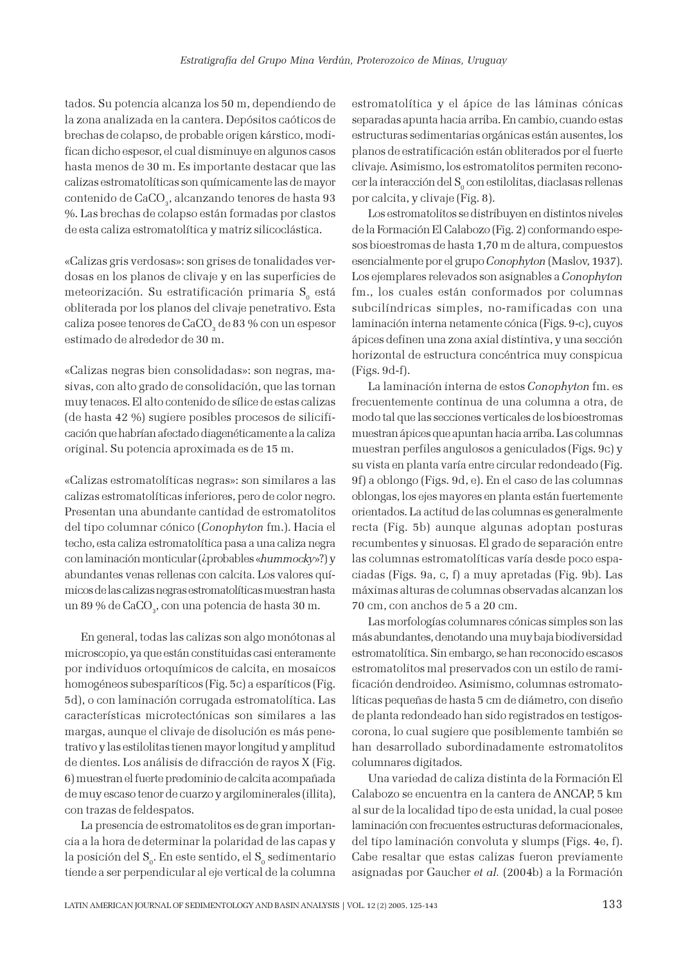tados. Su potencia alcanza los 50 m, dependiendo de la zona analizada en la cantera. Depósitos caóticos de brechas de colapso, de probable origen kárstico, modifican dicho espesor, el cual disminuye en algunos casos hasta menos de 30 m. Es importante destacar que las calizas estromatolíticas son químicamente las de mayor contenido de CaCO<sub>3</sub>, alcanzando tenores de hasta 93 %. Las brechas de colapso están formadas por clastos de esta caliza estromatolítica y matriz silicoclástica.

«Calizas gris verdosas»: son grises de tonalidades verdosas en los planos de clivaje y en las superficies de meteorización. Su estratificación primaria  $S_0$  está obliterada por los planos del clivaje penetrativo. Esta caliza posee tenores de CaCO<sub>3</sub> de 83 % con un espesor estimado de alrededor de 30 m.

«Calizas negras bien consolidadas»: son negras, masivas, con alto grado de consolidación, que las tornan muy tenaces. El alto contenido de sílice de estas calizas (de hasta 42 %) sugiere posibles procesos de silicificación que habrían afectado diagenéticamente a la caliza original. Su potencia aproximada es de 15 m.

«Calizas estromatolíticas negras»: son similares a las calizas estromatolíticas inferiores, pero de color negro. Presentan una abundante cantidad de estromatolitos del tipo columnar cónico (Conophyton fm.). Hacia el techo, esta caliza estromatolítica pasa a una caliza negra con laminación monticular (¿probables «hummocky»?) y abundantes venas rellenas con calcita. Los valores químicos de las calizas negras estromatolíticas muestran hasta un 89 % de CaCO $_{\textrm{\tiny 3}}$ , con una potencia de hasta 30 m.

En general, todas las calizas son algo monótonas al microscopio, ya que están constituidas casi enteramente por individuos ortoquímicos de calcita, en mosaicos homogéneos subesparíticos (Fig. 5c) a esparíticos (Fig. 5d), o con laminación corrugada estromatolítica. Las características microtectónicas son similares a las margas, aunque el clivaje de disolución es más penetrativo y las estilolitas tienen mayor longitud y amplitud de dientes. Los análisis de difracción de rayos X (Fig. 6) muestran el fuerte predominio de calcita acompañada de muy escaso tenor de cuarzo y argilominerales (illita), con trazas de feldespatos.

La presencia de estromatolitos es de gran importancia a la hora de determinar la polaridad de las capas y la posición del  $\textnormal{S}_{_{\textnormal{0}}}$ . En este sentido, el  $\textnormal{S}_{_{\textnormal{0}}}$  sedimentario tiende a ser perpendicular al eje vertical de la columna estromatolítica y el ápice de las láminas cónicas separadas apunta hacia arriba. En cambio, cuando estas estructuras sedimentarias orgánicas están ausentes, los planos de estratificación están obliterados por el fuerte clivaje. Asimismo, los estromatolitos permiten reconocer la interacción del  $\text{S}_{{\rm o}}$  con estilolitas, diaclasas rellenas por calcita, y clivaje (Fig. 8).

Los estromatolitos se distribuyen en distintos niveles de la Formación El Calabozo (Fig. 2) conformando espesos bioestromas de hasta 1,70 m de altura, compuestos esencialmente por el grupo Conophyton (Maslov, 1937). Los ejemplares relevados son asignables a Conophyton fm., los cuales están conformados por columnas subcilíndricas simples, no-ramificadas con una laminación interna netamente cónica (Figs. 9-c), cuyos ápices definen una zona axial distintiva, y una sección horizontal de estructura concéntrica muy conspicua (Figs. 9d-f).

La laminación interna de estos Conophyton fm. es frecuentemente continua de una columna a otra, de modo tal que las secciones verticales de los bioestromas muestran ápices que apuntan hacia arriba. Las columnas muestran perfiles angulosos a geniculados (Figs. 9c) y su vista en planta varía entre circular redondeado (Fig. 9f) a oblongo (Figs. 9d, e). En el caso de las columnas oblongas, los ejes mayores en planta están fuertemente orientados. La actitud de las columnas es generalmente recta (Fig. 5b) aunque algunas adoptan posturas recumbentes y sinuosas. El grado de separación entre las columnas estromatolíticas varía desde poco espaciadas (Figs. 9a, c, f) a muy apretadas (Fig. 9b). Las máximas alturas de columnas observadas alcanzan los 70 cm, con anchos de 5 a 20 cm.

Las morfologías columnares cónicas simples son las más abundantes, denotando una muy baja biodiversidad estromatolítica. Sin embargo, se han reconocido escasos estromatolitos mal preservados con un estilo de ramificación dendroideo. Asimismo, columnas estromatolíticas pequeñas de hasta 5 cm de diámetro, con diseño de planta redondeado han sido registrados en testigoscorona, lo cual sugiere que posiblemente también se han desarrollado subordinadamente estromatolitos columnares digitados.

Una variedad de caliza distinta de la Formación El Calabozo se encuentra en la cantera de ANCAP, 5 km al sur de la localidad tipo de esta unidad, la cual posee laminación con frecuentes estructuras deformacionales, del tipo laminación convoluta y slumps (Figs. 4e, f). Cabe resaltar que estas calizas fueron previamente asignadas por Gaucher et al. (2004b) a la Formación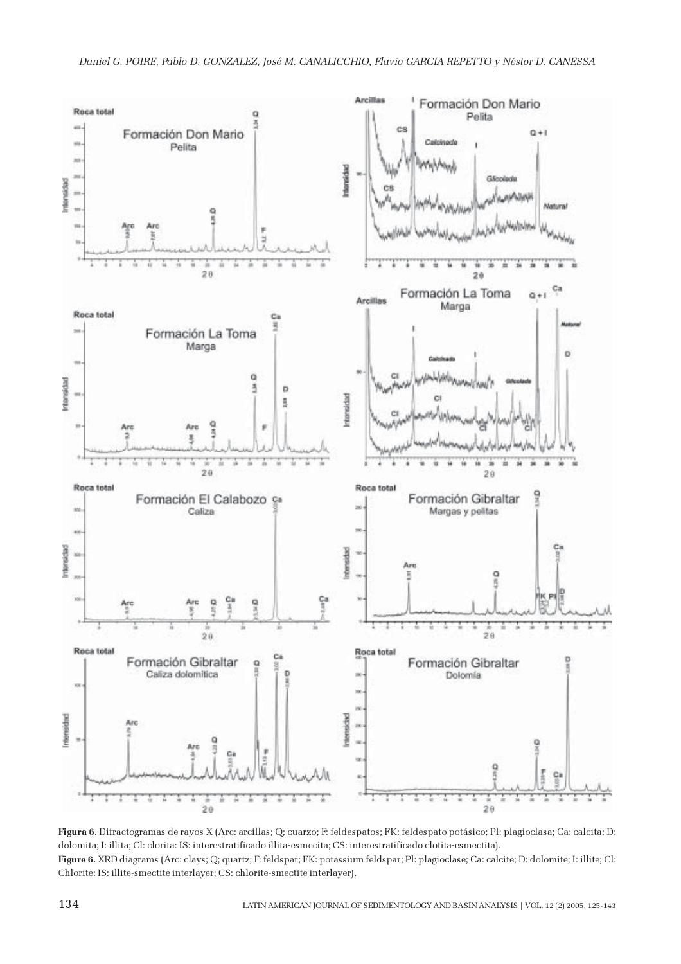

Figura 6. Difractogramas de rayos X (Arc: arcillas; Q; cuarzo; F: feldespatos; FK: feldespato potásico; Pl: plagioclasa; Ca: calcita; D: dolomita; I: illita; Cl: clorita: IS: interestratificado illita-esmecita; CS: interestratificado clotita-esmectita). Figure 6. XRD diagrams (Arc: clays; Q; quartz; F: feldspar; FK: potassium feldspar; Pl: plagioclase; Ca: calcite; D: dolomite; I: illite; Cl: Chlorite: IS: illite-smectite interlayer; CS: chlorite-smectite interlayer).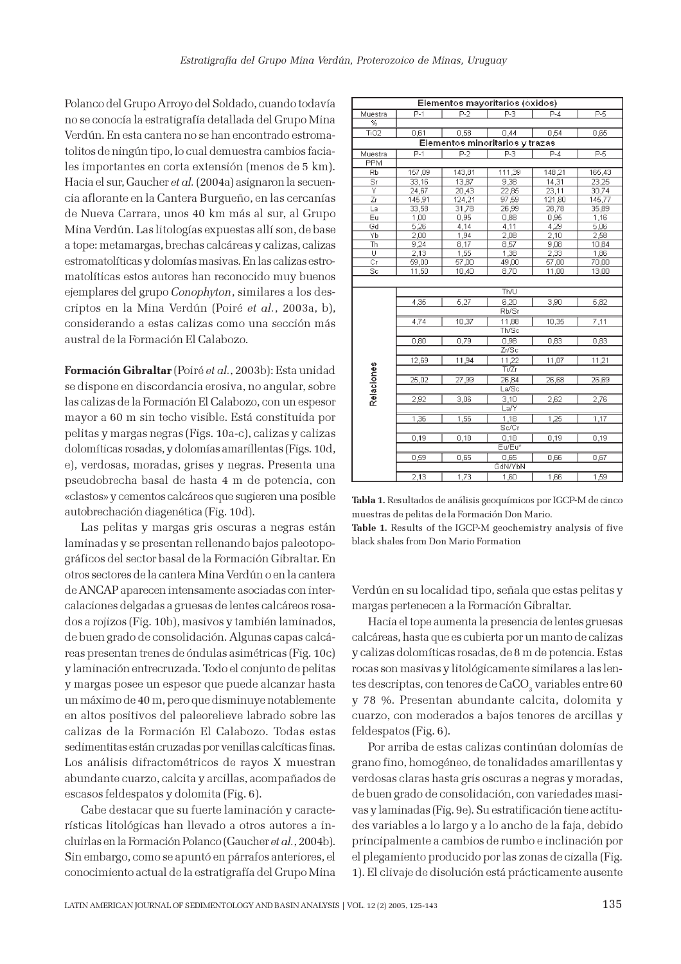Polanco del Grupo Arroyo del Soldado, cuando todavía no se conocía la estratigrafía detallada del Grupo Mina Verdún. En esta cantera no se han encontrado estromatolitos de ningún tipo, lo cual demuestra cambios faciales importantes en corta extensión (menos de 5 km). Hacia el sur, Gaucher et al. (2004a) asignaron la secuencia aflorante en la Cantera Burgueño, en las cercanías de Nueva Carrara, unos 40 km más al sur, al Grupo Mina Verdún. Las litologías expuestas allí son, de base a tope: metamargas, brechas calcáreas y calizas, calizas estromatolíticas y dolomías masivas. En las calizas estromatolíticas estos autores han reconocido muy buenos ejemplares del grupo Conophyton, similares a los descriptos en la Mina Verdún (Poiré et al., 2003a, b), considerando a estas calizas como una sección más austral de la Formación El Calabozo.

Formación Gibraltar (Poiré et al., 2003b): Esta unidad se dispone en discordancia erosiva, no angular, sobre las calizas de la Formación El Calabozo, con un espesor mayor a 60 m sin techo visible. Está constituida por pelitas y margas negras (Figs. 10a-c), calizas y calizas dolomíticas rosadas, y dolomías amarillentas (Figs. 10d, e), verdosas, moradas, grises y negras. Presenta una pseudobrecha basal de hasta 4 m de potencia, con «clastos» y cementos calcáreos que sugieren una posible autobrechación diagenética (Fig. 10d).

Las pelitas y margas gris oscuras a negras están laminadas y se presentan rellenando bajos paleotopográficos del sector basal de la Formación Gibraltar. En otros sectores de la cantera Mina Verdún o en la cantera de ANCAP aparecen intensamente asociadas con intercalaciones delgadas a gruesas de lentes calcáreos rosados a rojizos (Fig. 10b), masivos y también laminados, de buen grado de consolidación. Algunas capas calcáreas presentan trenes de óndulas asimétricas (Fig. 10c) y laminación entrecruzada. Todo el conjunto de pelitas y margas posee un espesor que puede alcanzar hasta un máximo de 40 m, pero que disminuye notablemente en altos positivos del paleorelieve labrado sobre las calizas de la Formación El Calabozo. Todas estas sedimentitas están cruzadas por venillas calcíticas finas. Los análisis difractométricos de rayos X muestran abundante cuarzo, calcita y arcillas, acompañados de escasos feldespatos y dolomita (Fig. 6).

Cabe destacar que su fuerte laminación y características litológicas han llevado a otros autores a incluirlas en la Formación Polanco (Gaucher et al., 2004b). Sin embargo, como se apuntó en párrafos anteriores, el conocimiento actual de la estratigrafía del Grupo Mina

| $P-2$<br>P-3<br>$P-4$<br><b>P-5</b><br>P-1<br>Muestra<br>%<br>TiO <sub>2</sub><br>0,58<br>0,44<br>0,54<br>0,65<br>0,61<br>Elementos minoritarios y trazas<br>$\overline{P}$<br>P3<br>$\overline{P-1}$<br>$P-5$<br>$P-4$<br>Muestra<br>PPM<br>Rb<br>157,09<br>143,81<br>111,39<br>148,21<br>165,43<br>Sr<br>13,87<br>9,38<br>14,31<br>33,16<br>23,25<br>Ϋ<br>23,11<br>24,67<br>20,43<br>22.85<br>30,74<br>145,91<br>97,59<br>Ζr<br>124, 21<br>121,80<br>145,77<br>33,58<br>31,78<br>26,99<br>28,78<br>35,89<br>La<br>Eu<br>0,95<br>0,88<br>0,95<br>1,16<br>1,00 | Elementos mayoritarios (óxidos) |       |      |      |      |      |  |
|----------------------------------------------------------------------------------------------------------------------------------------------------------------------------------------------------------------------------------------------------------------------------------------------------------------------------------------------------------------------------------------------------------------------------------------------------------------------------------------------------------------------------------------------------------------|---------------------------------|-------|------|------|------|------|--|
|                                                                                                                                                                                                                                                                                                                                                                                                                                                                                                                                                                |                                 |       |      |      |      |      |  |
|                                                                                                                                                                                                                                                                                                                                                                                                                                                                                                                                                                |                                 |       |      |      |      |      |  |
|                                                                                                                                                                                                                                                                                                                                                                                                                                                                                                                                                                |                                 |       |      |      |      |      |  |
|                                                                                                                                                                                                                                                                                                                                                                                                                                                                                                                                                                |                                 |       |      |      |      |      |  |
|                                                                                                                                                                                                                                                                                                                                                                                                                                                                                                                                                                |                                 |       |      |      |      |      |  |
|                                                                                                                                                                                                                                                                                                                                                                                                                                                                                                                                                                |                                 |       |      |      |      |      |  |
|                                                                                                                                                                                                                                                                                                                                                                                                                                                                                                                                                                |                                 |       |      |      |      |      |  |
|                                                                                                                                                                                                                                                                                                                                                                                                                                                                                                                                                                |                                 |       |      |      |      |      |  |
|                                                                                                                                                                                                                                                                                                                                                                                                                                                                                                                                                                |                                 |       |      |      |      |      |  |
|                                                                                                                                                                                                                                                                                                                                                                                                                                                                                                                                                                |                                 |       |      |      |      |      |  |
|                                                                                                                                                                                                                                                                                                                                                                                                                                                                                                                                                                |                                 |       |      |      |      |      |  |
|                                                                                                                                                                                                                                                                                                                                                                                                                                                                                                                                                                |                                 |       |      |      |      |      |  |
|                                                                                                                                                                                                                                                                                                                                                                                                                                                                                                                                                                | Gd                              | 5,26  | 4.14 | 4.11 | 4,29 | 5,06 |  |
| 1,94<br>2,10<br>2,58<br>Yb<br>2,00<br>2,08                                                                                                                                                                                                                                                                                                                                                                                                                                                                                                                     |                                 |       |      |      |      |      |  |
| 9,24<br>8,17<br>8,57<br>9,08<br>Th<br>10,84                                                                                                                                                                                                                                                                                                                                                                                                                                                                                                                    |                                 |       |      |      |      |      |  |
| 1,55<br>2,33<br>U<br>2,13<br>1,38<br>1,86                                                                                                                                                                                                                                                                                                                                                                                                                                                                                                                      |                                 |       |      |      |      |      |  |
| 57,00<br>Cr<br>59,00<br>49,00<br>57,00<br>70,00                                                                                                                                                                                                                                                                                                                                                                                                                                                                                                                |                                 |       |      |      |      |      |  |
| 10,40<br>8,70<br>Sc<br>11,50<br>11,00<br>13,00                                                                                                                                                                                                                                                                                                                                                                                                                                                                                                                 |                                 |       |      |      |      |      |  |
|                                                                                                                                                                                                                                                                                                                                                                                                                                                                                                                                                                |                                 |       |      |      |      |      |  |
| Th/U                                                                                                                                                                                                                                                                                                                                                                                                                                                                                                                                                           |                                 |       |      |      |      |      |  |
| 4,35<br>5,27<br>6,20<br>3,90<br>5,82                                                                                                                                                                                                                                                                                                                                                                                                                                                                                                                           |                                 |       |      |      |      |      |  |
|                                                                                                                                                                                                                                                                                                                                                                                                                                                                                                                                                                |                                 | Rb/Sr |      |      |      |      |  |
| 10,37<br>10,35<br>7,11<br>4,74<br>11,88                                                                                                                                                                                                                                                                                                                                                                                                                                                                                                                        |                                 |       |      |      |      |      |  |
| Th/Sc                                                                                                                                                                                                                                                                                                                                                                                                                                                                                                                                                          |                                 |       |      |      |      |      |  |
| 0.79<br>0.98<br>0,80<br>0,83<br>0,83                                                                                                                                                                                                                                                                                                                                                                                                                                                                                                                           |                                 |       |      |      |      |      |  |
| Zr/Sc                                                                                                                                                                                                                                                                                                                                                                                                                                                                                                                                                          |                                 |       |      |      |      |      |  |
| 12,69<br>11,94<br>11,07<br>11,21<br>11,22                                                                                                                                                                                                                                                                                                                                                                                                                                                                                                                      |                                 |       |      |      |      |      |  |
| Ti/Zr                                                                                                                                                                                                                                                                                                                                                                                                                                                                                                                                                          | Relaciones                      |       |      |      |      |      |  |
| 25,02<br>27,99<br>26,84<br>26,69<br>26,68                                                                                                                                                                                                                                                                                                                                                                                                                                                                                                                      |                                 |       |      |      |      |      |  |
| La/Sc                                                                                                                                                                                                                                                                                                                                                                                                                                                                                                                                                          |                                 |       |      |      |      |      |  |
| 2,92<br>3,06<br>3,10<br>2,62<br>2,76                                                                                                                                                                                                                                                                                                                                                                                                                                                                                                                           |                                 |       |      |      |      |      |  |
| La/Y                                                                                                                                                                                                                                                                                                                                                                                                                                                                                                                                                           |                                 |       |      |      |      |      |  |
| 1,25<br>1.17<br>1,36<br>1,56<br>1,18                                                                                                                                                                                                                                                                                                                                                                                                                                                                                                                           |                                 |       |      |      |      |      |  |
| Sc/Cr                                                                                                                                                                                                                                                                                                                                                                                                                                                                                                                                                          |                                 |       |      |      |      |      |  |
| 0,19<br>0,18<br>0,18<br>0,19<br>0.19                                                                                                                                                                                                                                                                                                                                                                                                                                                                                                                           |                                 |       |      |      |      |      |  |
| Eu/Eu*                                                                                                                                                                                                                                                                                                                                                                                                                                                                                                                                                         |                                 |       |      |      |      |      |  |
| 0,59<br>0,65<br>0,67<br>0,66<br>0,65                                                                                                                                                                                                                                                                                                                                                                                                                                                                                                                           |                                 |       |      |      |      |      |  |
| GdN/YbN                                                                                                                                                                                                                                                                                                                                                                                                                                                                                                                                                        |                                 |       |      |      |      |      |  |
| 1.73<br>2,13<br>1,66<br>1,60<br>1.59                                                                                                                                                                                                                                                                                                                                                                                                                                                                                                                           |                                 |       |      |      |      |      |  |

| Tabla 1. Resultados de análisis geoquímicos por IGCP-M de cinco |
|-----------------------------------------------------------------|
| muestras de pelitas de la Formación Don Mario.                  |

Table 1. Results of the IGCP-M geochemistry analysis of five black shales from Don Mario Formation

Verdún en su localidad tipo, señala que estas pelitas y margas pertenecen a la Formación Gibraltar.

Hacia el tope aumenta la presencia de lentes gruesas calcáreas, hasta que es cubierta por un manto de calizas y calizas dolomíticas rosadas, de 8 m de potencia. Estas rocas son masivas y litológicamente similares a las lentes descriptas, con tenores de CaCO $_{\tiny 3}$  variables entre 60 y 78 %. Presentan abundante calcita, dolomita y cuarzo, con moderados a bajos tenores de arcillas y feldespatos (Fig. 6).

Por arriba de estas calizas continúan dolomías de grano fino, homogéneo, de tonalidades amarillentas y verdosas claras hasta gris oscuras a negras y moradas, de buen grado de consolidación, con variedades masivas y laminadas (Fig. 9e). Su estratificación tiene actitudes variables a lo largo y a lo ancho de la faja, debido principalmente a cambios de rumbo e inclinación por el plegamiento producido por las zonas de cizalla (Fig. 1). El clivaje de disolución está prácticamente ausente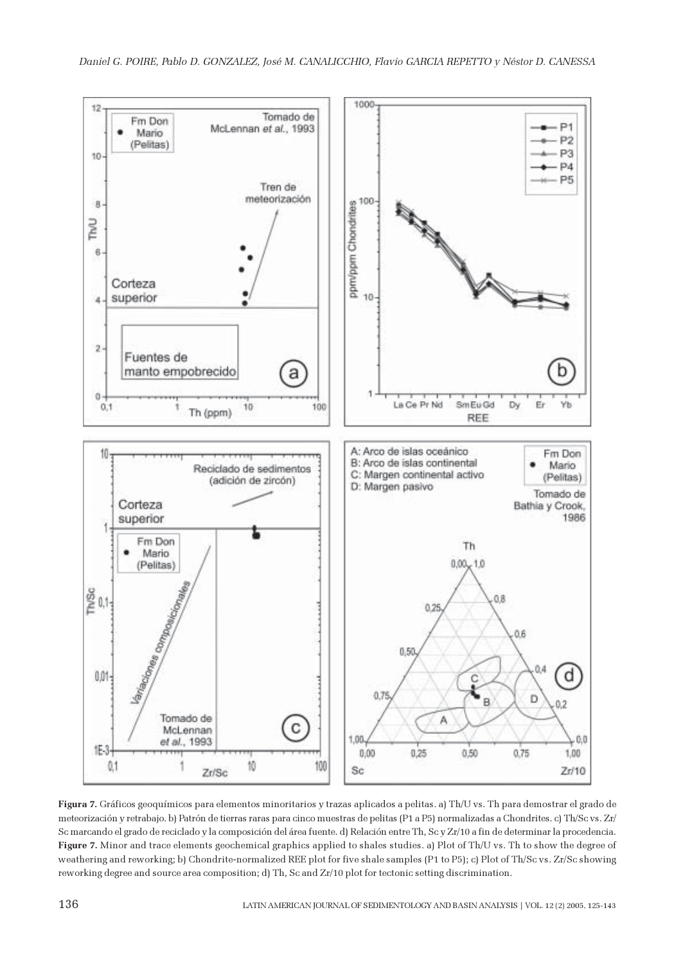

Figura 7. Gráficos geoquímicos para elementos minoritarios y trazas aplicados a pelitas. a) Th/U vs. Th para demostrar el grado de meteorización y retrabajo. b) Patrón de tierras raras para cinco muestras de pelitas (P1 a P5) normalizadas a Chondrites. c) Th/Sc vs. Zr/ Sc marcando el grado de reciclado y la composición del área fuente. d) Relación entre Th, Sc y Zr/10 a fin de determinar la procedencia. Figure 7. Minor and trace elements geochemical graphics applied to shales studies. a) Plot of Th/U vs. Th to show the degree of weathering and reworking; b) Chondrite-normalized REE plot for five shale samples (P1 to P5); c) Plot of Th/Sc vs. Zr/Sc showing reworking degree and source area composition; d) Th, Sc and Zr/10 plot for tectonic setting discrimination.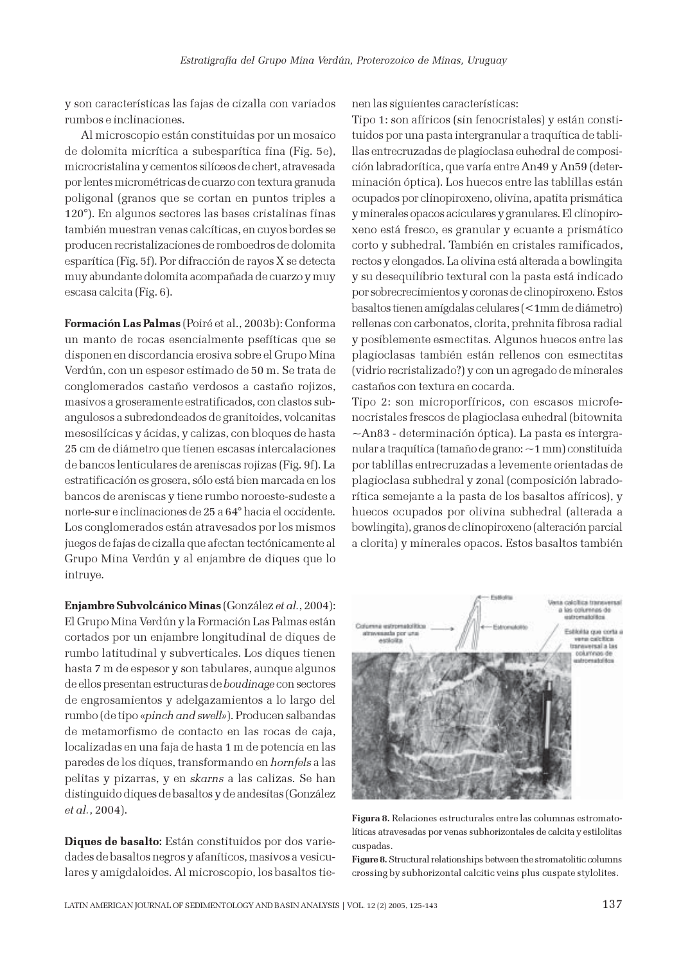y son características las fajas de cizalla con variados rumbos e inclinaciones.

Al microscopio están constituidas por un mosaico de dolomita micrítica a subesparítica fina (Fig. 5e), microcristalina y cementos silíceos de chert, atravesada por lentes micrométricas de cuarzo con textura granuda poligonal (granos que se cortan en puntos triples a 120°). En algunos sectores las bases cristalinas finas también muestran venas calcíticas, en cuyos bordes se producen recristalizaciones de romboedros de dolomita esparítica (Fig. 5f). Por difracción de rayos X se detecta muy abundante dolomita acompañada de cuarzo y muy escasa calcita (Fig. 6).

Formación Las Palmas (Poiré et al., 2003b): Conforma un manto de rocas esencialmente psefíticas que se disponen en discordancia erosiva sobre el Grupo Mina Verdún, con un espesor estimado de 50 m. Se trata de conglomerados castaño verdosos a castaño rojizos, masivos a groseramente estratificados, con clastos subangulosos a subredondeados de granitoides, volcanitas mesosilícicas y ácidas, y calizas, con bloques de hasta 25 cm de diámetro que tienen escasas intercalaciones de bancos lenticulares de areniscas rojizas (Fig. 9f). La estratificación es grosera, sólo está bien marcada en los bancos de areniscas y tiene rumbo noroeste-sudeste a norte-sur e inclinaciones de 25 a 64° hacia el occidente. Los conglomerados están atravesados por los mismos juegos de fajas de cizalla que afectan tectónicamente al Grupo Mina Verdún y al enjambre de diques que lo intruye.

Enjambre Subvolcánico Minas (González et al., 2004): El Grupo Mina Verdún y la Formación Las Palmas están cortados por un enjambre longitudinal de diques de rumbo latitudinal y subverticales. Los diques tienen hasta 7 m de espesor y son tabulares, aunque algunos de ellos presentan estructuras de boudinage con sectores de engrosamientos y adelgazamientos a lo largo del rumbo (de tipo «pinch and swell»). Producen salbandas de metamorfismo de contacto en las rocas de caja, localizadas en una faja de hasta 1 m de potencia en las paredes de los diques, transformando en hornfels a las pelitas y pizarras, y en skarns a las calizas. Se han distinguido diques de basaltos y de andesitas (González et al., 2004).

Diques de basalto: Están constituidos por dos variedades de basaltos negros y afaníticos, masivos a vesiculares y amigdaloides. Al microscopio, los basaltos tienen las siguientes características:

Tipo 1: son afíricos (sin fenocristales) y están constituidos por una pasta intergranular a traquítica de tablillas entrecruzadas de plagioclasa euhedral de composición labradorítica, que varía entre An49 y An59 (determinación óptica). Los huecos entre las tablillas están ocupados por clinopiroxeno, olivina, apatita prismática y minerales opacos aciculares y granulares. El clinopiroxeno está fresco, es granular y ecuante a prismático corto y subhedral. También en cristales ramificados, rectos y elongados. La olivina está alterada a bowlingita y su desequilibrio textural con la pasta está indicado por sobrecrecimientos y coronas de clinopiroxeno. Estos basaltos tienen amígdalas celulares (<1mm de diámetro) rellenas con carbonatos, clorita, prehnita fibrosa radial y posiblemente esmectitas. Algunos huecos entre las plagioclasas también están rellenos con esmectitas (vidrio recristalizado?) y con un agregado de minerales castaños con textura en cocarda.

Tipo 2: son microporfíricos, con escasos microfenocristales frescos de plagioclasa euhedral (bitownita ~An83 - determinación óptica). La pasta es intergranular a traquítica (tamaño de grano: ~1 mm) constituida por tablillas entrecruzadas a levemente orientadas de plagioclasa subhedral y zonal (composición labradorítica semejante a la pasta de los basaltos afíricos), y huecos ocupados por olivina subhedral (alterada a bowlingita), granos de clinopiroxeno (alteración parcial a clorita) y minerales opacos. Estos basaltos también



Figura 8. Relaciones estructurales entre las columnas estromatolíticas atravesadas por venas subhorizontales de calcita y estilolitas cuspadas.

Figure 8. Structural relationships between the stromatolitic columns crossing by subhorizontal calcitic veins plus cuspate stylolites.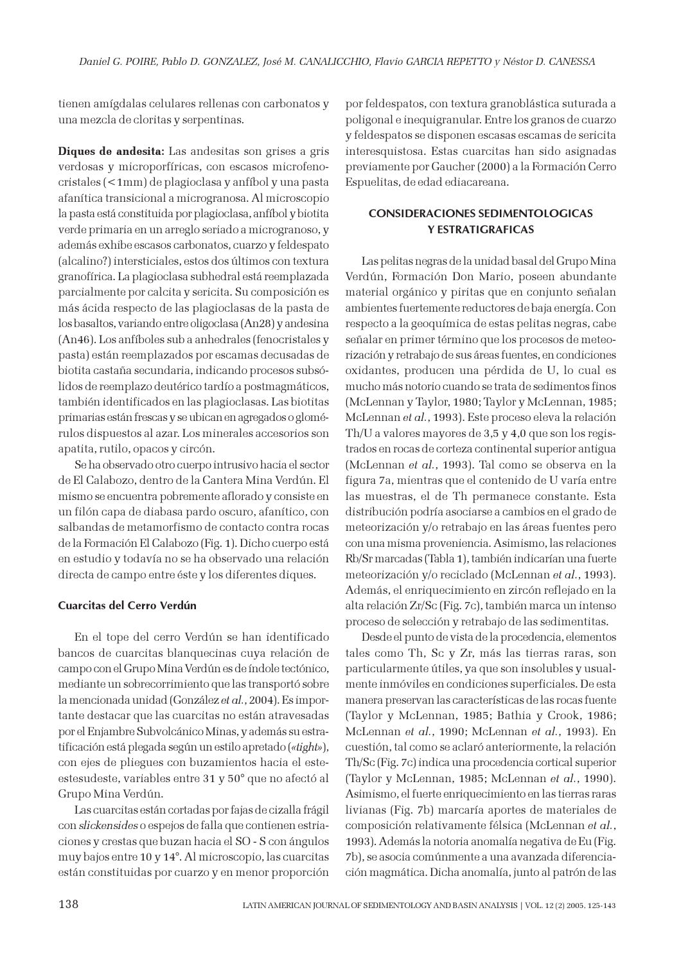tienen amígdalas celulares rellenas con carbonatos y una mezcla de cloritas y serpentinas.

Diques de andesita: Las andesitas son grises a gris verdosas y microporfíricas, con escasos microfenocristales (<1mm) de plagioclasa y anfíbol y una pasta afanítica transicional a microgranosa. Al microscopio la pasta está constituida por plagioclasa, anfíbol y biotita verde primaria en un arreglo seriado a microgranoso, y además exhibe escasos carbonatos, cuarzo y feldespato (alcalino?) intersticiales, estos dos últimos con textura granofírica. La plagioclasa subhedral está reemplazada parcialmente por calcita y sericita. Su composición es más ácida respecto de las plagioclasas de la pasta de los basaltos, variando entre oligoclasa (An28) y andesina (An46). Los anfíboles sub a anhedrales (fenocristales y pasta) están reemplazados por escamas decusadas de biotita castaña secundaria, indicando procesos subsólidos de reemplazo deutérico tardío a postmagmáticos, también identificados en las plagioclasas. Las biotitas primarias están frescas y se ubican en agregados o glomérulos dispuestos al azar. Los minerales accesorios son apatita, rutilo, opacos y circón.

Se ha observado otro cuerpo intrusivo hacia el sector de El Calabozo, dentro de la Cantera Mina Verdún. El mismo se encuentra pobremente aflorado y consiste en un filón capa de diabasa pardo oscuro, afanítico, con salbandas de metamorfismo de contacto contra rocas de la Formación El Calabozo (Fig. 1). Dicho cuerpo está en estudio y todavía no se ha observado una relación directa de campo entre éste y los diferentes diques.

# Cuarcitas del Cerro Verdún

En el tope del cerro Verdún se han identificado bancos de cuarcitas blanquecinas cuya relación de campo con el Grupo Mina Verdún es de índole tectónico, mediante un sobrecorrimiento que las transportó sobre la mencionada unidad (González et al., 2004). Es importante destacar que las cuarcitas no están atravesadas por el Enjambre Subvolcánico Minas, y además su estratificación está plegada según un estilo apretado («tight»), con ejes de pliegues con buzamientos hacia el esteestesudeste, variables entre 31 y 50° que no afectó al Grupo Mina Verdún.

Las cuarcitas están cortadas por fajas de cizalla frágil con slickensides o espejos de falla que contienen estriaciones y crestas que buzan hacia el SO - S con ángulos muy bajos entre 10 y 14°. Al microscopio, las cuarcitas están constituidas por cuarzo y en menor proporción

por feldespatos, con textura granoblástica suturada a poligonal e inequigranular. Entre los granos de cuarzo y feldespatos se disponen escasas escamas de sericita interesquistosa. Estas cuarcitas han sido asignadas previamente por Gaucher (2000) a la Formación Cerro Espuelitas, de edad ediacareana.

# CONSIDERACIONES SEDIMENTOLOGICAS Y ESTRATIGRAFICAS

Las pelitas negras de la unidad basal del Grupo Mina Verdún, Formación Don Mario, poseen abundante material orgánico y piritas que en conjunto señalan ambientes fuertemente reductores de baja energía. Con respecto a la geoquímica de estas pelitas negras, cabe señalar en primer término que los procesos de meteorización y retrabajo de sus áreas fuentes, en condiciones oxidantes, producen una pérdida de U, lo cual es mucho más notorio cuando se trata de sedimentos finos (McLennan y Taylor, 1980; Taylor y McLennan, 1985; McLennan et al., 1993). Este proceso eleva la relación Th/U a valores mayores de 3,5 y 4,0 que son los registrados en rocas de corteza continental superior antigua (McLennan et al., 1993). Tal como se observa en la figura 7a, mientras que el contenido de U varía entre las muestras, el de Th permanece constante. Esta distribución podría asociarse a cambios en el grado de meteorización y/o retrabajo en las áreas fuentes pero con una misma proveniencia. Asimismo, las relaciones Rb/Sr marcadas (Tabla 1), también indicarían una fuerte meteorización y/o reciclado (McLennan et al., 1993). Además, el enriquecimiento en zircón reflejado en la alta relación Zr/Sc (Fig. 7c), también marca un intenso proceso de selección y retrabajo de las sedimentitas.

Desde el punto de vista de la procedencia, elementos tales como Th, Sc y Zr, más las tierras raras, son particularmente útiles, ya que son insolubles y usualmente inmóviles en condiciones superficiales. De esta manera preservan las características de las rocas fuente (Taylor y McLennan, 1985; Bathia y Crook, 1986; McLennan et al., 1990; McLennan et al., 1993). En cuestión, tal como se aclaró anteriormente, la relación Th/Sc (Fig. 7c) indica una procedencia cortical superior (Taylor y McLennan, 1985; McLennan et al., 1990). Asimismo, el fuerte enriquecimiento en las tierras raras livianas (Fig. 7b) marcaría aportes de materiales de composición relativamente félsica (McLennan et al., 1993). Además la notoria anomalía negativa de Eu (Fig. 7b), se asocia comúnmente a una avanzada diferenciación magmática. Dicha anomalía, junto al patrón de las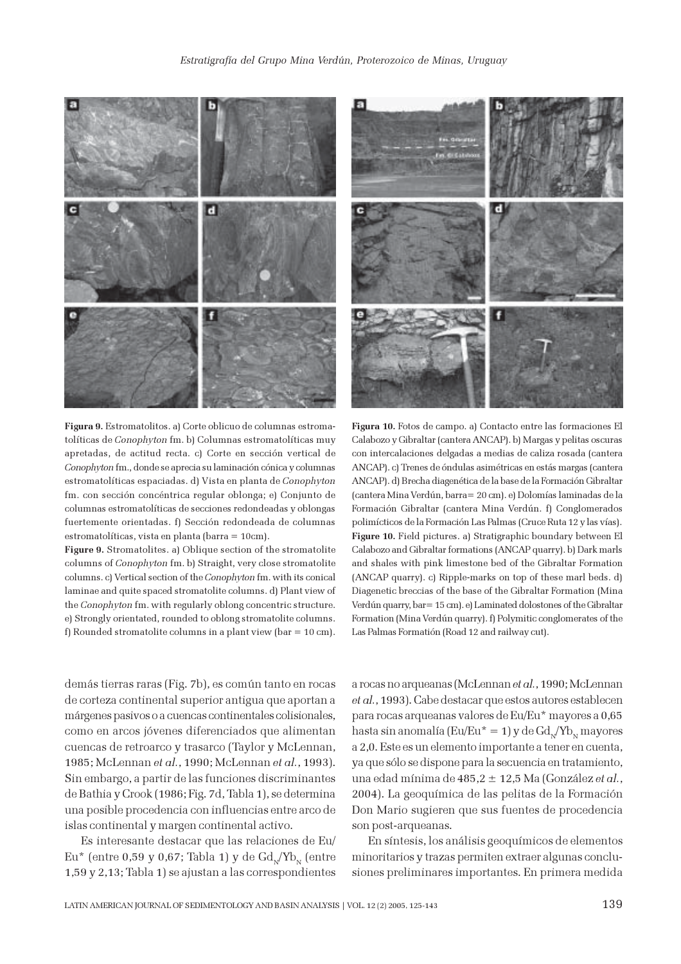

Figura 9. Estromatolitos. a) Corte oblicuo de columnas estromatolíticas de Conophyton fm. b) Columnas estromatolíticas muy apretadas, de actitud recta. c) Corte en sección vertical de Conophyton fm., donde se aprecia su laminación cónica y columnas estromatolíticas espaciadas. d) Vista en planta de Conophyton fm. con sección concéntrica regular oblonga; e) Conjunto de columnas estromatolíticas de secciones redondeadas y oblongas fuertemente orientadas. f) Sección redondeada de columnas estromatolíticas, vista en planta (barra = 10cm).

Figure 9. Stromatolites. a) Oblique section of the stromatolite columns of Conophyton fm. b) Straight, very close stromatolite columns. c) Vertical section of the Conophyton fm. with its conical laminae and quite spaced stromatolite columns. d) Plant view of the Conophyton fm. with regularly oblong concentric structure. e) Strongly orientated, rounded to oblong stromatolite columns. f) Rounded stromatolite columns in a plant view (bar = 10 cm).

demás tierras raras (Fig. 7b), es común tanto en rocas de corteza continental superior antigua que aportan a márgenes pasivos o a cuencas continentales colisionales, como en arcos jóvenes diferenciados que alimentan cuencas de retroarco y trasarco (Taylor y McLennan, 1985; McLennan et al., 1990; McLennan et al., 1993). Sin embargo, a partir de las funciones discriminantes de Bathia y Crook (1986; Fig. 7d, Tabla 1), se determina una posible procedencia con influencias entre arco de islas continental y margen continental activo.

Es interesante destacar que las relaciones de Eu/ Eu<sup>\*</sup> (entre 0,59 y 0,67; Tabla 1) y de  $Gd_{N}/Yb_{N}$  (entre 1,59 y 2,13; Tabla 1) se ajustan a las correspondientes



Figura 10. Fotos de campo. a) Contacto entre las formaciones El Calabozo y Gibraltar (cantera ANCAP). b) Margas y pelitas oscuras con intercalaciones delgadas a medias de caliza rosada (cantera ANCAP). c) Trenes de óndulas asimétricas en estás margas (cantera ANCAP). d) Brecha diagenética de la base de la Formación Gibraltar (cantera Mina Verdún, barra= 20 cm). e) Dolomías laminadas de la Formación Gibraltar (cantera Mina Verdún. f) Conglomerados polimícticos de la Formación Las Palmas (Cruce Ruta 12 y las vías). Figure 10. Field pictures. a) Stratigraphic boundary between El Calabozo and Gibraltar formations (ANCAP quarry). b) Dark marls and shales with pink limestone bed of the Gibraltar Formation (ANCAP quarry). c) Ripple-marks on top of these marl beds. d) Diagenetic breccias of the base of the Gibraltar Formation (Mina Verdún quarry, bar= 15 cm). e) Laminated dolostones of the Gibraltar Formation (Mina Verdún quarry). f) Polymitic conglomerates of the Las Palmas Formatión (Road 12 and railway cut).

a rocas no arqueanas (McLennan et al., 1990; McLennan et al., 1993). Cabe destacar que estos autores establecen para rocas arqueanas valores de Eu/Eu\* mayores a 0,65 hasta sin anomalía (Eu/Eu $* = 1$ ) y de Gd<sub>N</sub>/Yb<sub>N</sub> mayores a 2,0. Este es un elemento importante a tener en cuenta, ya que sólo se dispone para la secuencia en tratamiento, una edad mínima de 485,2  $\pm$  12,5 Ma (González et al., 2004). La geoquímica de las pelitas de la Formación Don Mario sugieren que sus fuentes de procedencia son post-arqueanas.

En síntesis, los análisis geoquímicos de elementos minoritarios y trazas permiten extraer algunas conclusiones preliminares importantes. En primera medida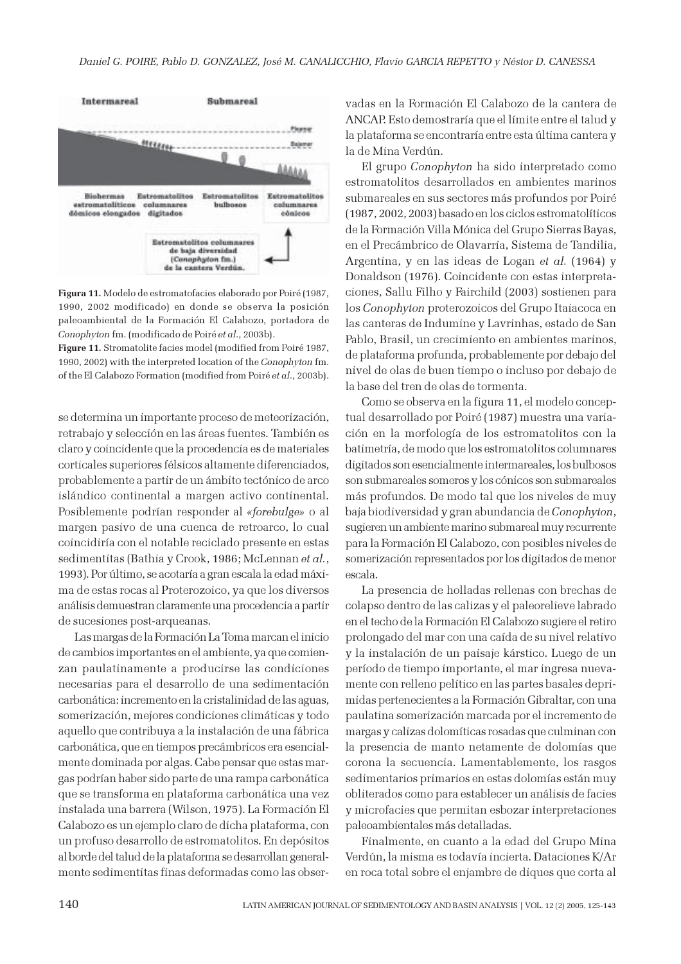

Figura 11. Modelo de estromatofacies elaborado por Poiré (1987, 1990, 2002 modificado) en donde se observa la posición paleoambiental de la Formación El Calabozo, portadora de Conophyton fm. (modificado de Poiré et al., 2003b).

Figure 11. Stromatolite facies model (modified from Poiré 1987, 1990, 2002) with the interpreted location of the Conophyton fm. of the El Calabozo Formation (modified from Poiré et al., 2003b).

se determina un importante proceso de meteorización, retrabajo y selección en las áreas fuentes. También es claro y coincidente que la procedencia es de materiales corticales superiores félsicos altamente diferenciados, probablemente a partir de un ámbito tectónico de arco islándico continental a margen activo continental. Posiblemente podrían responder al «forebulge» o al margen pasivo de una cuenca de retroarco, lo cual coincidiría con el notable reciclado presente en estas sedimentitas (Bathia y Crook, 1986; McLennan et al., 1993). Por último, se acotaría a gran escala la edad máxima de estas rocas al Proterozoico, ya que los diversos análisis demuestran claramente una procedencia a partir de sucesiones post-arqueanas.

Las margas de la Formación La Toma marcan el inicio de cambios importantes en el ambiente, ya que comienzan paulatinamente a producirse las condiciones necesarias para el desarrollo de una sedimentación carbonática: incremento en la cristalinidad de las aguas, somerización, mejores condiciones climáticas y todo aquello que contribuya a la instalación de una fábrica carbonática, que en tiempos precámbricos era esencialmente dominada por algas. Cabe pensar que estas margas podrían haber sido parte de una rampa carbonática que se transforma en plataforma carbonática una vez instalada una barrera (Wilson, 1975). La Formación El Calabozo es un ejemplo claro de dicha plataforma, con un profuso desarrollo de estromatolitos. En depósitos al borde del talud de la plataforma se desarrollan generalmente sedimentitas finas deformadas como las observadas en la Formación El Calabozo de la cantera de ANCAP. Esto demostraría que el límite entre el talud y la plataforma se encontraría entre esta última cantera y la de Mina Verdún.

El grupo Conophyton ha sido interpretado como estromatolitos desarrollados en ambientes marinos submareales en sus sectores más profundos por Poiré (1987, 2002, 2003) basado en los ciclos estromatolíticos de la Formación Villa Mónica del Grupo Sierras Bayas, en el Precámbrico de Olavarría, Sistema de Tandilia, Argentina, y en las ideas de Logan et al. (1964) y Donaldson (1976). Coincidente con estas interpretaciones, Sallu Filho y Fairchild (2003) sostienen para los Conophyton proterozoicos del Grupo Itaiacoca en las canteras de Indumine y Lavrinhas, estado de San Pablo, Brasil, un crecimiento en ambientes marinos, de plataforma profunda, probablemente por debajo del nivel de olas de buen tiempo o incluso por debajo de la base del tren de olas de tormenta.

Como se observa en la figura 11, el modelo conceptual desarrollado por Poiré (1987) muestra una variación en la morfología de los estromatolitos con la batimetría, de modo que los estromatolitos columnares digitados son esencialmente intermareales, los bulbosos son submareales someros y los cónicos son submareales más profundos. De modo tal que los niveles de muy baja biodiversidad y gran abundancia de Conophyton, sugieren un ambiente marino submareal muy recurrente para la Formación El Calabozo, con posibles niveles de somerización representados por los digitados de menor escala.

La presencia de holladas rellenas con brechas de colapso dentro de las calizas y el paleorelieve labrado en el techo de la Formación El Calabozo sugiere el retiro prolongado del mar con una caída de su nivel relativo y la instalación de un paisaje kárstico. Luego de un período de tiempo importante, el mar ingresa nuevamente con relleno pelítico en las partes basales deprimidas pertenecientes a la Formación Gibraltar, con una paulatina somerización marcada por el incremento de margas y calizas dolomíticas rosadas que culminan con la presencia de manto netamente de dolomías que corona la secuencia. Lamentablemente, los rasgos sedimentarios primarios en estas dolomías están muy obliterados como para establecer un análisis de facies y microfacies que permitan esbozar interpretaciones paleoambientales más detalladas.

Finalmente, en cuanto a la edad del Grupo Mina Verdún, la misma es todavía incierta. Dataciones K/Ar en roca total sobre el enjambre de diques que corta al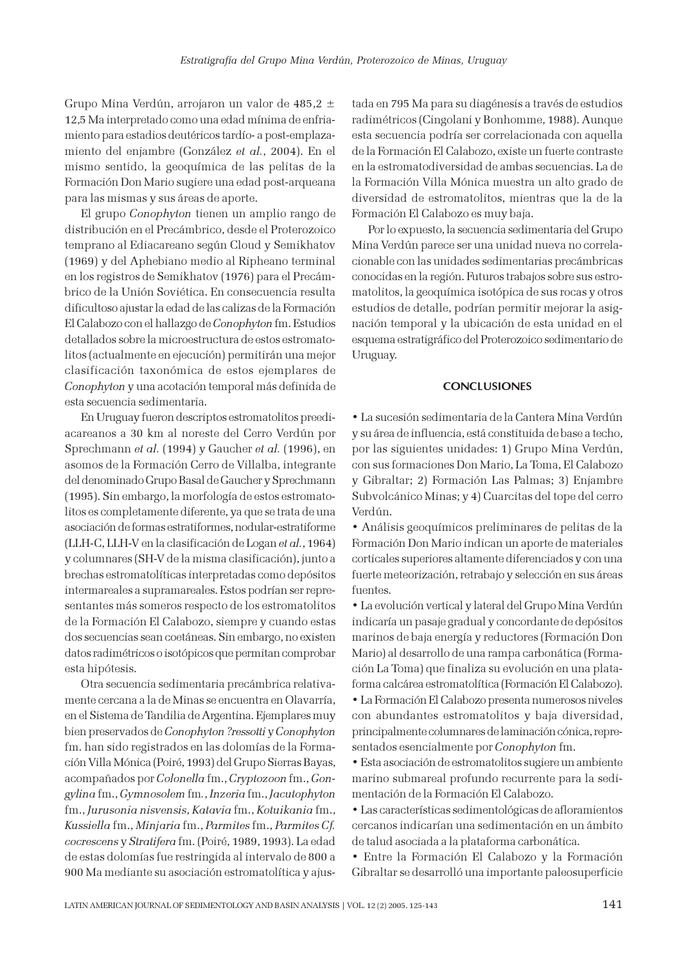Grupo Mina Verdún, arrojaron un valor de 485,2 ± 12,5 Ma interpretado como una edad mínima de enfriamiento para estadios deutéricos tardío- a post-emplazamiento del enjambre (González et al., 2004). En el mismo sentido, la geoquímica de las pelitas de la Formación Don Mario sugiere una edad post-arqueana para las mismas y sus áreas de aporte.

El grupo Conophyton tienen un amplio rango de distribución en el Precámbrico, desde el Proterozoico temprano al Ediacareano según Cloud y Semikhatov (1969) y del Aphebiano medio al Ripheano terminal en los registros de Semikhatov (1976) para el Precámbrico de la Unión Soviética. En consecuencia resulta dificultoso ajustar la edad de las calizas de la Formación El Calabozo con el hallazgo de Conophyton fm. Estudios detallados sobre la microestructura de estos estromatolitos (actualmente en ejecución) permitirán una mejor clasificación taxonómica de estos ejemplares de Conophyton y una acotación temporal más definida de esta secuencia sedimentaria.

En Uruguay fueron descriptos estromatolitos preediacareanos a 30 km al noreste del Cerro Verdún por Sprechmann et al. (1994) y Gaucher et al. (1996), en asomos de la Formación Cerro de Villalba, integrante del denominado Grupo Basal de Gaucher y Sprechmann (1995). Sin embargo, la morfología de estos estromatolitos es completamente diferente, ya que se trata de una asociación de formas estratiformes, nodular-estratiforme (LLH-C, LLH-V en la clasificación de Logan et al., 1964) y columnares (SH-V de la misma clasificación), junto a brechas estromatolíticas interpretadas como depósitos intermareales a supramareales. Estos podrían ser representantes más someros respecto de los estromatolitos de la Formación El Calabozo, siempre y cuando estas dos secuencias sean coetáneas. Sin embargo, no existen datos radimétricos o isotópicos que permitan comprobar esta hipótesis.

Otra secuencia sedimentaria precámbrica relativamente cercana a la de Minas se encuentra en Olavarría, en el Sistema de Tandilia de Argentina. Ejemplares muy bien preservados de Conophyton ?ressotti y Conophyton fm. han sido registrados en las dolomías de la Formación Villa Mónica (Poiré, 1993) del Grupo Sierras Bayas, acompañados por Colonella fm., Cryptozoon fm., Gongylina fm., Gymnosolem fm., Inzeria fm., Jacutophyton fm., Jurusonia nisvensis, Katavia fm., Kotuikania fm., Kussiella fm., Minjaria fm., Parmites fm., Parmites Cf. cocrescens y Stratifera fm. (Poiré, 1989, 1993). La edad de estas dolomías fue restringida al intervalo de 800 a 900 Ma mediante su asociación estromatolítica y ajustada en 795 Ma para su diagénesis a través de estudios radimétricos (Cingolani y Bonhomme, 1988). Aunque esta secuencia podría ser correlacionada con aquella de la Formación El Calabozo, existe un fuerte contraste en la estromatodiversidad de ambas secuencias. La de la Formación Villa Mónica muestra un alto grado de diversidad de estromatolitos, mientras que la de la Formación El Calabozo es muy baja.

Por lo expuesto, la secuencia sedimentaria del Grupo Mina Verdún parece ser una unidad nueva no correlacionable con las unidades sedimentarias precámbricas conocidas en la región. Futuros trabajos sobre sus estromatolitos, la geoquímica isotópica de sus rocas y otros estudios de detalle, podrían permitir mejorar la asignación temporal y la ubicación de esta unidad en el esquema estratigráfico del Proterozoico sedimentario de Uruguay.

## **CONCLUSIONES**

• La sucesión sedimentaria de la Cantera Mina Verdún y su área de influencia, está constituida de base a techo, por las siguientes unidades: 1) Grupo Mina Verdún, con sus formaciones Don Mario, La Toma, El Calabozo y Gibraltar; 2) Formación Las Palmas; 3) Enjambre Subvolcánico Minas; y 4) Cuarcitas del tope del cerro Verdún.

• Análisis geoquímicos preliminares de pelitas de la Formación Don Mario indican un aporte de materiales corticales superiores altamente diferenciados y con una fuerte meteorización, retrabajo y selección en sus áreas fuentes.

• La evolución vertical y lateral del Grupo Mina Verdún indicaría un pasaje gradual y concordante de depósitos marinos de baja energía y reductores (Formación Don Mario) al desarrollo de una rampa carbonática (Formación La Toma) que finaliza su evolución en una plataforma calcárea estromatolítica (Formación El Calabozo). • La Formación El Calabozo presenta numerosos niveles con abundantes estromatolitos y baja diversidad, principalmente columnares de laminación cónica, representados esencialmente por Conophyton fm.

• Esta asociación de estromatolitos sugiere un ambiente marino submareal profundo recurrente para la sedimentación de la Formación El Calabozo.

• Las características sedimentológicas de afloramientos cercanos indicarían una sedimentación en un ámbito de talud asociada a la plataforma carbonática.

• Entre la Formación El Calabozo y la Formación Gibraltar se desarrolló una importante paleosuperficie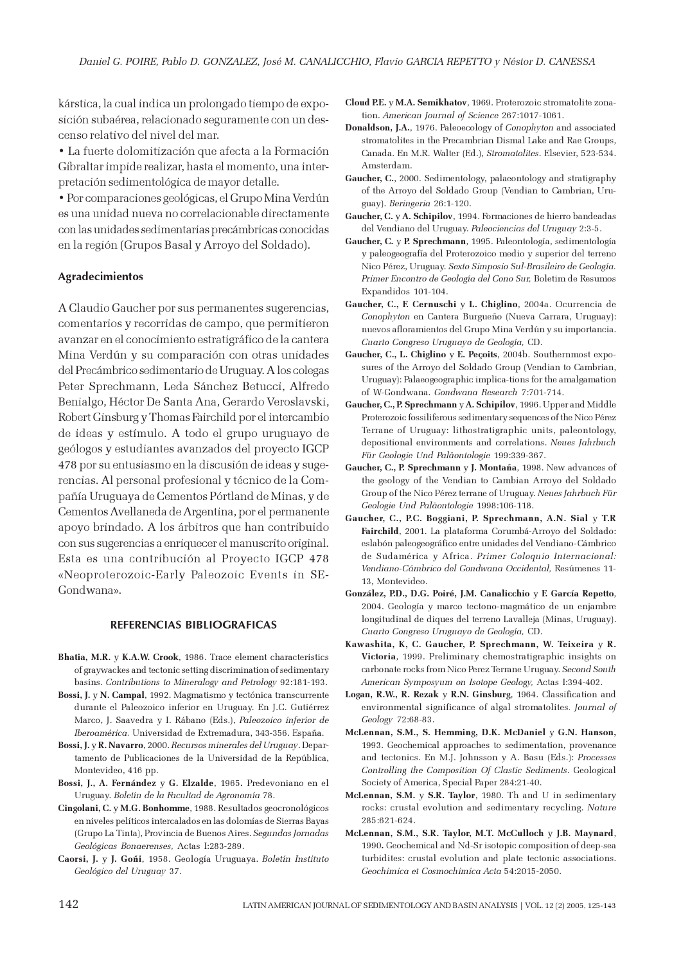kárstica, la cual indica un prolongado tiempo de exposición subaérea, relacionado seguramente con un descenso relativo del nivel del mar.

• La fuerte dolomitización que afecta a la Formación Gibraltar impide realizar, hasta el momento, una interpretación sedimentológica de mayor detalle.

• Por comparaciones geológicas, el Grupo Mina Verdún es una unidad nueva no correlacionable directamente con las unidades sedimentarias precámbricas conocidas en la región (Grupos Basal y Arroyo del Soldado).

# Agradecimientos

A Claudio Gaucher por sus permanentes sugerencias, comentarios y recorridas de campo, que permitieron avanzar en el conocimiento estratigráfico de la cantera Mina Verdún y su comparación con otras unidades del Precámbrico sedimentario de Uruguay. A los colegas Peter Sprechmann, Leda Sánchez Betucci, Alfredo Benialgo, Héctor De Santa Ana, Gerardo Veroslavski, Robert Ginsburg y Thomas Fairchild por el intercambio de ideas y estímulo. A todo el grupo uruguayo de geólogos y estudiantes avanzados del proyecto IGCP 478 por su entusiasmo en la discusión de ideas y sugerencias. Al personal profesional y técnico de la Compañía Uruguaya de Cementos Pórtland de Minas, y de Cementos Avellaneda de Argentina, por el permanente apoyo brindado. A los árbitros que han contribuido con sus sugerencias a enriquecer el manuscrito original. Esta es una contribución al Proyecto IGCP 478 «Neoproterozoic-Early Paleozoic Events in SE-Gondwana».

## REFERENCIAS BIBLIOGRAFICAS

- Bhatia, M.R. y K.A.W. Crook, 1986. Trace element characteristics of graywackes and tectonic setting discrimination of sedimentary basins. Contributions to Mineralogy and Petrology 92:181-193.
- Bossi, J. y N. Campal, 1992. Magmatismo y tectónica transcurrente durante el Paleozoico inferior en Uruguay. En J.C. Gutiérrez Marco, J. Saavedra y I. Rábano (Eds.), Paleozoico inferior de Iberoamérica. Universidad de Extremadura, 343-356. España.
- Bossi, J. y R. Navarro, 2000. Recursos minerales del Uruguay. Departamento de Publicaciones de la Universidad de la República, Montevideo, 416 pp.
- Bossi, J., A. Fernández y G. Elzalde, 1965. Predevoniano en el Uruguay. Boletín de la Facultad de Agronomía 78.
- Cingolani, C. y M.G. Bonhomme, 1988. Resultados geocronológicos en niveles pelíticos intercalados en las dolomías de Sierras Bayas (Grupo La Tinta), Provincia de Buenos Aires. Segundas Jornadas Geológicas Bonaerenses, Actas I:283-289.
- Caorsi, J. y J. Goñi, 1958. Geología Uruguaya. Boletín Instituto Geológico del Uruguay 37.
- Cloud P.E. y M.A. Semikhatov, 1969. Proterozoic stromatolite zonation. American Journal of Science 267:1017-1061.
- Donaldson, J.A., 1976. Paleoecology of Conophyton and associated stromatolites in the Precambrian Dismal Lake and Rae Groups, Canada. En M.R. Walter (Ed.), Stromatolites. Elsevier, 523-534. Amsterdam.
- Gaucher, C., 2000. Sedimentology, palaeontology and stratigraphy of the Arroyo del Soldado Group (Vendian to Cambrian, Uruguay). Beringeria 26:1-120.
- Gaucher, C. y A. Schipilov, 1994. Formaciones de hierro bandeadas del Vendiano del Uruguay. Paleociencias del Uruguay 2:3-5.
- Gaucher, C. y P. Sprechmann, 1995. Paleontología, sedimentología y paleogeografía del Proterozoico medio y superior del terreno Nico Pérez, Uruguay. Sexto Simposio Sul-Brasileiro de Geología. Primer Encontro de Geología del Cono Sur, Boletim de Resumos Expandidos 101-104.
- Gaucher, C., F. Cernuschi y L. Chiglino, 2004a. Ocurrencia de Conophyton en Cantera Burgueño (Nueva Carrara, Uruguay): nuevos afloramientos del Grupo Mina Verdún y su importancia. Cuarto Congreso Uruguayo de Geología, CD.
- Gaucher, C., L. Chiglino y E. Peçoits, 2004b. Southernmost exposures of the Arroyo del Soldado Group (Vendian to Cambrian, Uruguay): Palaeogeographic implica-tions for the amalgamation of W-Gondwana. Gondwana Research 7:701-714.
- Gaucher, C., P. Sprechmann y A. Schipilov, 1996. Upper and Middle Proterozoic fossiliferous sedimentary sequences of the Nico Pérez Terrane of Uruguay: lithostratigraphic units, paleontology, depositional environments and correlations. Neues Jahrbuch Für Geologie Und Paläontologie 199:339-367.
- Gaucher, C., P. Sprechmann y J. Montaña, 1998. New advances of the geology of the Vendian to Cambian Arroyo del Soldado Group of the Nico Pérez terrane of Uruguay. Neues Jahrbuch Für Geologie Und Paläontologie 1998:106-118.
- Gaucher, C., P.C. Boggiani, P. Sprechmann, A.N. Sial y T.R Fairchild, 2001. La plataforma Corumbá-Arroyo del Soldado: eslabón paleogeográfico entre unidades del Vendiano-Cámbrico de Sudamérica y Africa. Primer Coloquio Internacional: Vendiano-Cámbrico del Gondwana Occidental, Resúmenes 11- 13, Montevideo.
- González, P.D., D.G. Poiré, J.M. Canalicchio y F. García Repetto, 2004. Geología y marco tectono-magmático de un enjambre longitudinal de diques del terreno Lavalleja (Minas, Uruguay). Cuarto Congreso Uruguayo de Geología, CD.
- Kawashita, K, C. Gaucher, P. Sprechmann, W. Teixeira y R. Victoria, 1999. Preliminary chemostratigraphic insights on carbonate rocks from Nico Perez Terrane Uruguay. Second South American Symposyum on Isotope Geology, Actas I:394-402.
- Logan, R.W., R. Rezak y R.N. Ginsburg, 1964. Classification and environmental significance of algal stromatolites. Journal of Geology 72:68-83.
- McLennan, S.M., S. Hemming, D.K. McDaniel y G.N. Hanson, 1993. Geochemical approaches to sedimentation, provenance and tectonics. En M.J. Johnsson y A. Basu (Eds.): Processes Controlling the Composition Of Clastic Sediments. Geological Society of America, Special Paper 284:21-40.
- McLennan, S.M. y S.R. Taylor, 1980. Th and U in sedimentary rocks: crustal evolution and sedimentary recycling. Nature 285:621-624.
- McLennan, S.M., S.R. Taylor, M.T. McCulloch y J.B. Maynard, 1990. Geochemical and Nd-Sr isotopic composition of deep-sea turbidites: crustal evolution and plate tectonic associations. Geochimica et Cosmochimica Acta 54:2015-2050.